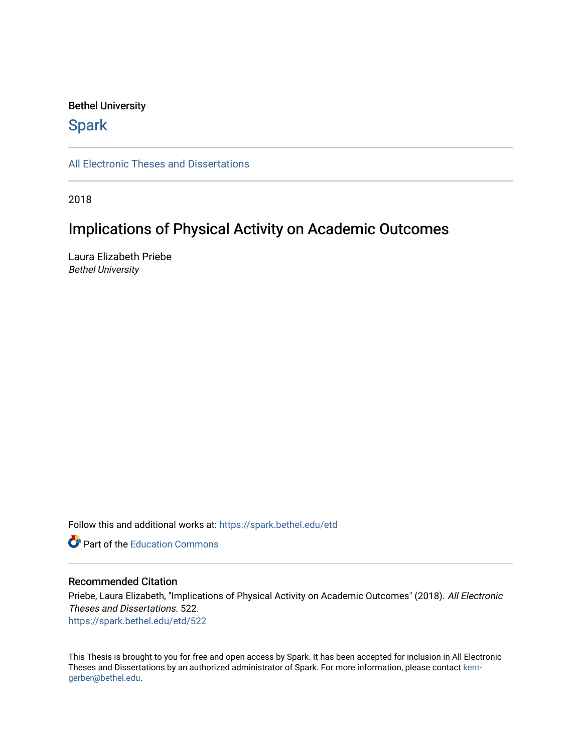### Bethel University

# **Spark**

[All Electronic Theses and Dissertations](https://spark.bethel.edu/etd) 

2018

# Implications of Physical Activity on Academic Outcomes

Laura Elizabeth Priebe Bethel University

Follow this and additional works at: [https://spark.bethel.edu/etd](https://spark.bethel.edu/etd?utm_source=spark.bethel.edu%2Fetd%2F522&utm_medium=PDF&utm_campaign=PDFCoverPages)

**C** Part of the [Education Commons](http://network.bepress.com/hgg/discipline/784?utm_source=spark.bethel.edu%2Fetd%2F522&utm_medium=PDF&utm_campaign=PDFCoverPages)

### Recommended Citation

Priebe, Laura Elizabeth, "Implications of Physical Activity on Academic Outcomes" (2018). All Electronic Theses and Dissertations. 522. [https://spark.bethel.edu/etd/522](https://spark.bethel.edu/etd/522?utm_source=spark.bethel.edu%2Fetd%2F522&utm_medium=PDF&utm_campaign=PDFCoverPages)

This Thesis is brought to you for free and open access by Spark. It has been accepted for inclusion in All Electronic Theses and Dissertations by an authorized administrator of Spark. For more information, please contact [kent](mailto:kent-gerber@bethel.edu)[gerber@bethel.edu.](mailto:kent-gerber@bethel.edu)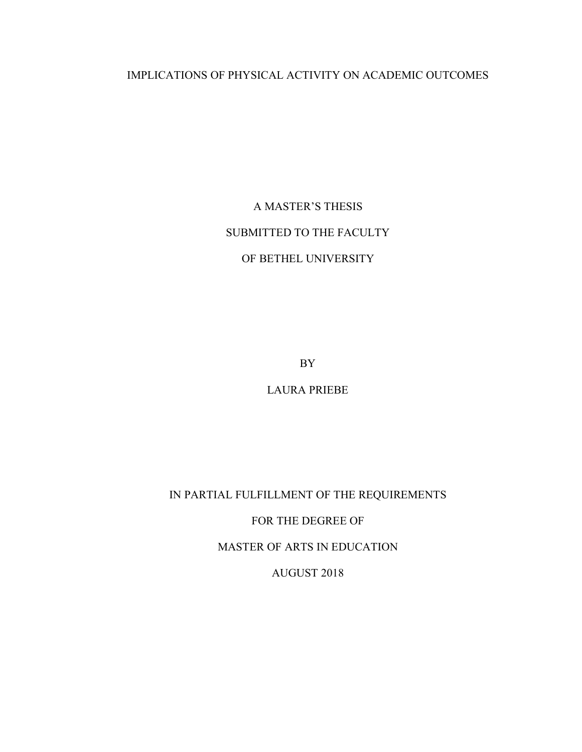# IMPLICATIONS OF PHYSICAL ACTIVITY ON ACADEMIC OUTCOMES

A MASTER'S THESIS SUBMITTED TO THE FACULTY OF BETHEL UNIVERSITY

BY

LAURA PRIEBE

IN PARTIAL FULFILLMENT OF THE REQUIREMENTS

FOR THE DEGREE OF

MASTER OF ARTS IN EDUCATION

AUGUST 2018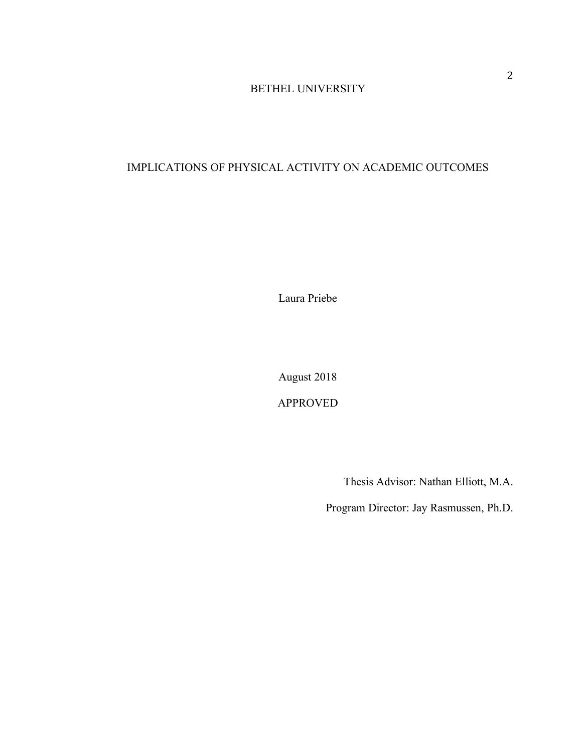# BETHEL UNIVERSITY

# IMPLICATIONS OF PHYSICAL ACTIVITY ON ACADEMIC OUTCOMES

Laura Priebe

August 2018

APPROVED

Thesis Advisor: Nathan Elliott, M.A.

Program Director: Jay Rasmussen, Ph.D.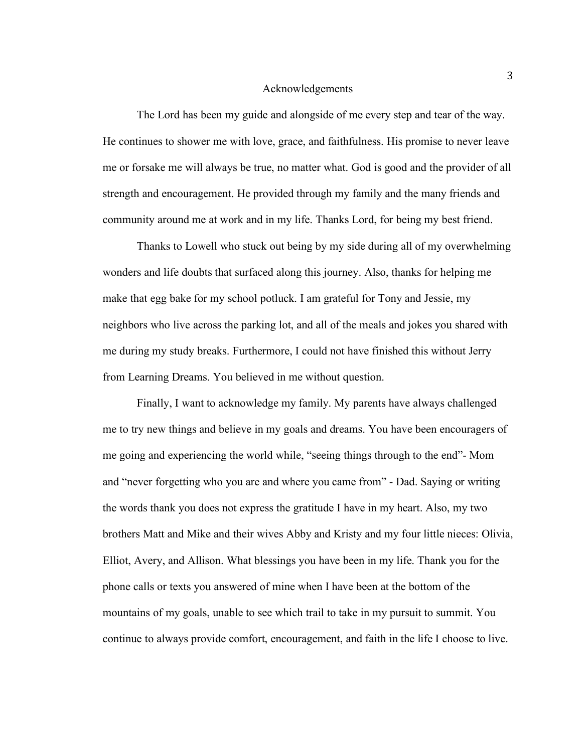#### Acknowledgements

The Lord has been my guide and alongside of me every step and tear of the way. He continues to shower me with love, grace, and faithfulness. His promise to never leave me or forsake me will always be true, no matter what. God is good and the provider of all strength and encouragement. He provided through my family and the many friends and community around me at work and in my life. Thanks Lord, for being my best friend.

Thanks to Lowell who stuck out being by my side during all of my overwhelming wonders and life doubts that surfaced along this journey. Also, thanks for helping me make that egg bake for my school potluck. I am grateful for Tony and Jessie, my neighbors who live across the parking lot, and all of the meals and jokes you shared with me during my study breaks. Furthermore, I could not have finished this without Jerry from Learning Dreams. You believed in me without question.

Finally, I want to acknowledge my family. My parents have always challenged me to try new things and believe in my goals and dreams. You have been encouragers of me going and experiencing the world while, "seeing things through to the end"- Mom and "never forgetting who you are and where you came from" - Dad. Saying or writing the words thank you does not express the gratitude I have in my heart. Also, my two brothers Matt and Mike and their wives Abby and Kristy and my four little nieces: Olivia, Elliot, Avery, and Allison. What blessings you have been in my life. Thank you for the phone calls or texts you answered of mine when I have been at the bottom of the mountains of my goals, unable to see which trail to take in my pursuit to summit. You continue to always provide comfort, encouragement, and faith in the life I choose to live.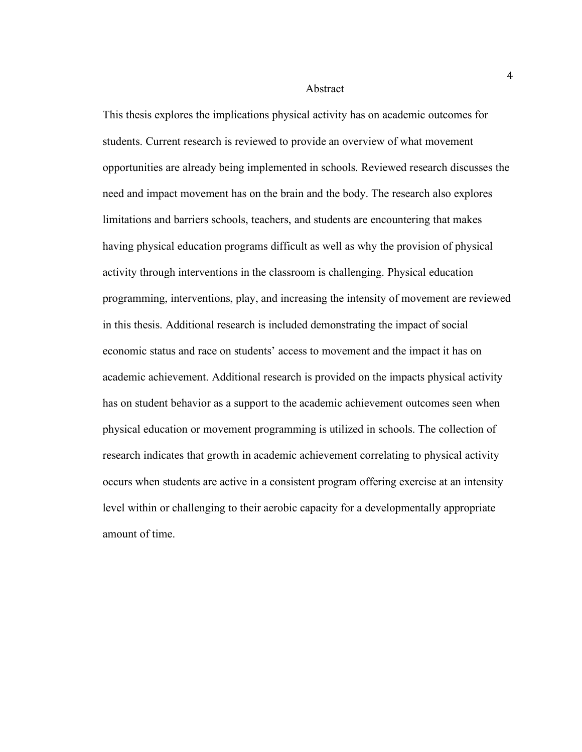#### Abstract

This thesis explores the implications physical activity has on academic outcomes for students. Current research is reviewed to provide an overview of what movement opportunities are already being implemented in schools. Reviewed research discusses the need and impact movement has on the brain and the body. The research also explores limitations and barriers schools, teachers, and students are encountering that makes having physical education programs difficult as well as why the provision of physical activity through interventions in the classroom is challenging. Physical education programming, interventions, play, and increasing the intensity of movement are reviewed in this thesis. Additional research is included demonstrating the impact of social economic status and race on students' access to movement and the impact it has on academic achievement. Additional research is provided on the impacts physical activity has on student behavior as a support to the academic achievement outcomes seen when physical education or movement programming is utilized in schools. The collection of research indicates that growth in academic achievement correlating to physical activity occurs when students are active in a consistent program offering exercise at an intensity level within or challenging to their aerobic capacity for a developmentally appropriate amount of time.

4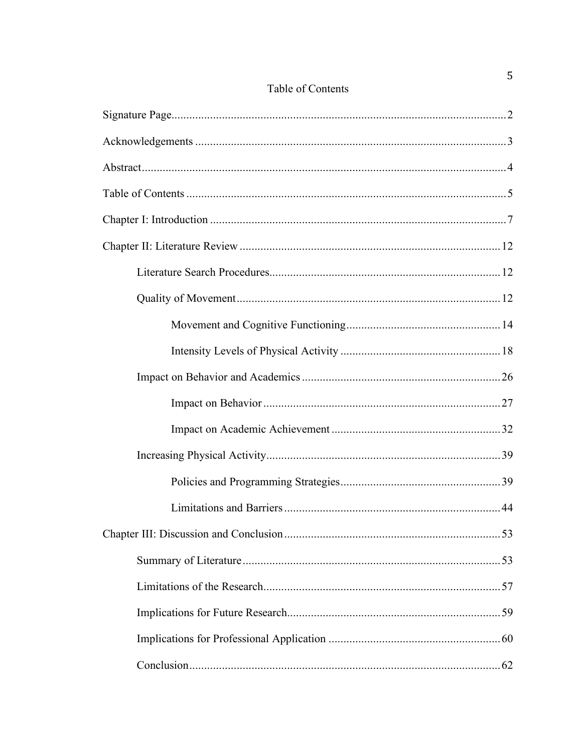# Table of Contents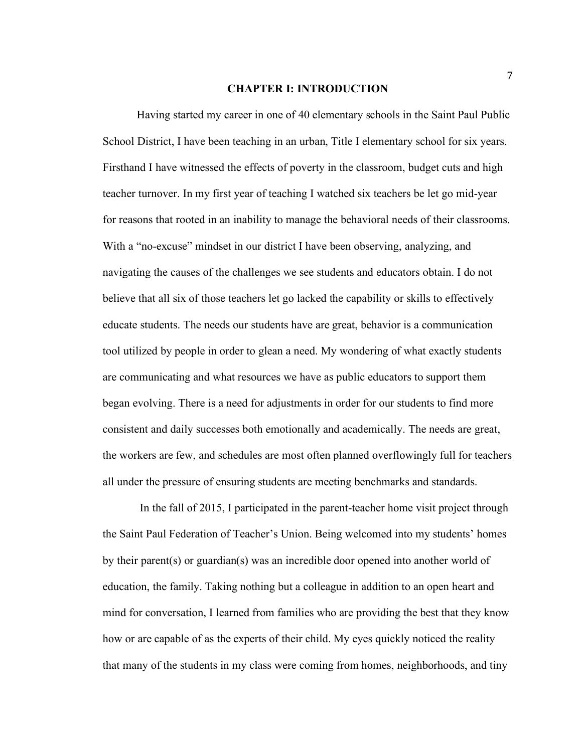#### **CHAPTER I: INTRODUCTION**

Having started my career in one of 40 elementary schools in the Saint Paul Public School District, I have been teaching in an urban, Title I elementary school for six years. Firsthand I have witnessed the effects of poverty in the classroom, budget cuts and high teacher turnover. In my first year of teaching I watched six teachers be let go mid-year for reasons that rooted in an inability to manage the behavioral needs of their classrooms. With a "no-excuse" mindset in our district I have been observing, analyzing, and navigating the causes of the challenges we see students and educators obtain. I do not believe that all six of those teachers let go lacked the capability or skills to effectively educate students. The needs our students have are great, behavior is a communication tool utilized by people in order to glean a need. My wondering of what exactly students are communicating and what resources we have as public educators to support them began evolving. There is a need for adjustments in order for our students to find more consistent and daily successes both emotionally and academically. The needs are great, the workers are few, and schedules are most often planned overflowingly full for teachers all under the pressure of ensuring students are meeting benchmarks and standards.

In the fall of 2015, I participated in the parent-teacher home visit project through the Saint Paul Federation of Teacher's Union. Being welcomed into my students' homes by their parent(s) or guardian(s) was an incredible door opened into another world of education, the family. Taking nothing but a colleague in addition to an open heart and mind for conversation, I learned from families who are providing the best that they know how or are capable of as the experts of their child. My eyes quickly noticed the reality that many of the students in my class were coming from homes, neighborhoods, and tiny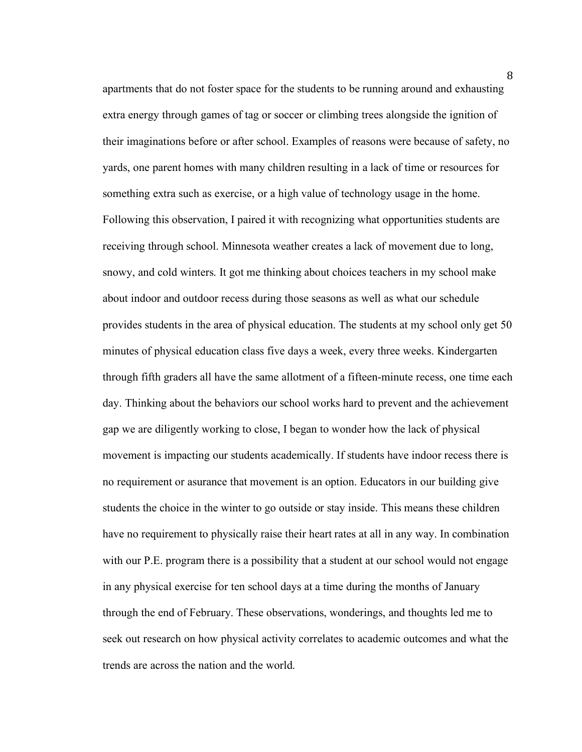apartments that do not foster space for the students to be running around and exhausting extra energy through games of tag or soccer or climbing trees alongside the ignition of their imaginations before or after school. Examples of reasons were because of safety, no yards, one parent homes with many children resulting in a lack of time or resources for something extra such as exercise, or a high value of technology usage in the home. Following this observation, I paired it with recognizing what opportunities students are receiving through school. Minnesota weather creates a lack of movement due to long, snowy, and cold winters. It got me thinking about choices teachers in my school make about indoor and outdoor recess during those seasons as well as what our schedule provides students in the area of physical education. The students at my school only get 50 minutes of physical education class five days a week, every three weeks. Kindergarten through fifth graders all have the same allotment of a fifteen-minute recess, one time each day. Thinking about the behaviors our school works hard to prevent and the achievement gap we are diligently working to close, I began to wonder how the lack of physical movement is impacting our students academically. If students have indoor recess there is no requirement or asurance that movement is an option. Educators in our building give students the choice in the winter to go outside or stay inside. This means these children have no requirement to physically raise their heart rates at all in any way. In combination with our P.E. program there is a possibility that a student at our school would not engage in any physical exercise for ten school days at a time during the months of January through the end of February. These observations, wonderings, and thoughts led me to seek out research on how physical activity correlates to academic outcomes and what the trends are across the nation and the world.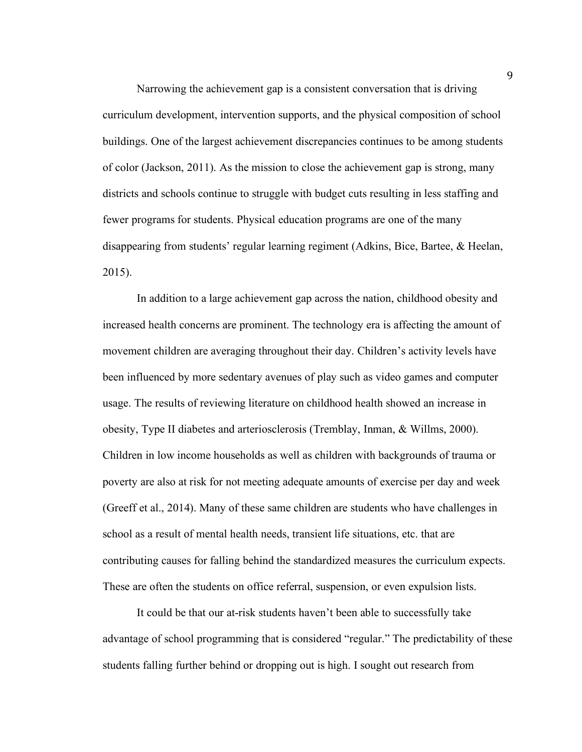Narrowing the achievement gap is a consistent conversation that is driving curriculum development, intervention supports, and the physical composition of school buildings. One of the largest achievement discrepancies continues to be among students of color (Jackson, 2011). As the mission to close the achievement gap is strong, many districts and schools continue to struggle with budget cuts resulting in less staffing and fewer programs for students. Physical education programs are one of the many disappearing from students' regular learning regiment (Adkins, Bice, Bartee, & Heelan, 2015).

 In addition to a large achievement gap across the nation, childhood obesity and increased health concerns are prominent. The technology era is affecting the amount of movement children are averaging throughout their day. Children's activity levels have been influenced by more sedentary avenues of play such as video games and computer usage. The results of reviewing literature on childhood health showed an increase in obesity, Type II diabetes and arteriosclerosis (Tremblay, Inman, & Willms, 2000). Children in low income households as well as children with backgrounds of trauma or poverty are also at risk for not meeting adequate amounts of exercise per day and week (Greeff et al., 2014). Many of these same children are students who have challenges in school as a result of mental health needs, transient life situations, etc. that are contributing causes for falling behind the standardized measures the curriculum expects. These are often the students on office referral, suspension, or even expulsion lists.

It could be that our at-risk students haven't been able to successfully take advantage of school programming that is considered "regular." The predictability of these students falling further behind or dropping out is high. I sought out research from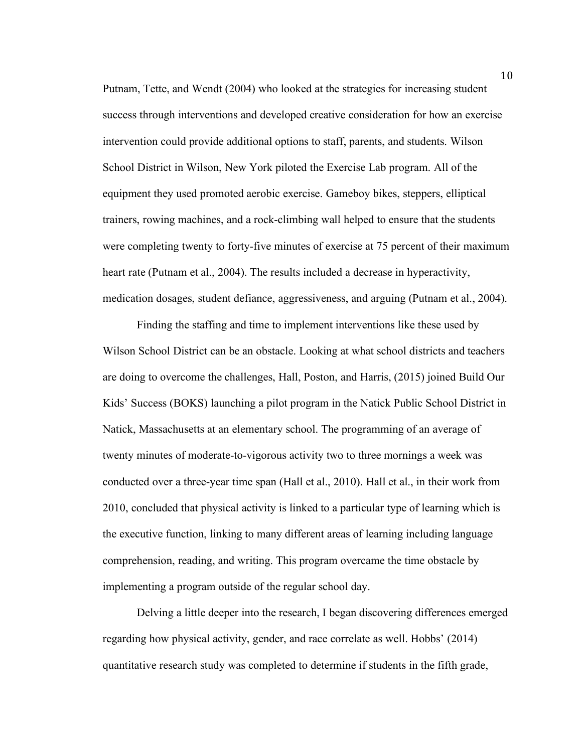Putnam, Tette, and Wendt (2004) who looked at the strategies for increasing student success through interventions and developed creative consideration for how an exercise intervention could provide additional options to staff, parents, and students. Wilson School District in Wilson, New York piloted the Exercise Lab program. All of the equipment they used promoted aerobic exercise. Gameboy bikes, steppers, elliptical trainers, rowing machines, and a rock-climbing wall helped to ensure that the students were completing twenty to forty-five minutes of exercise at 75 percent of their maximum heart rate (Putnam et al., 2004). The results included a decrease in hyperactivity, medication dosages, student defiance, aggressiveness, and arguing (Putnam et al., 2004).

Finding the staffing and time to implement interventions like these used by Wilson School District can be an obstacle. Looking at what school districts and teachers are doing to overcome the challenges, Hall, Poston, and Harris, (2015) joined Build Our Kids' Success (BOKS) launching a pilot program in the Natick Public School District in Natick, Massachusetts at an elementary school. The programming of an average of twenty minutes of moderate-to-vigorous activity two to three mornings a week was conducted over a three-year time span (Hall et al., 2010). Hall et al., in their work from 2010, concluded that physical activity is linked to a particular type of learning which is the executive function, linking to many different areas of learning including language comprehension, reading, and writing. This program overcame the time obstacle by implementing a program outside of the regular school day.

Delving a little deeper into the research, I began discovering differences emerged regarding how physical activity, gender, and race correlate as well. Hobbs' (2014) quantitative research study was completed to determine if students in the fifth grade,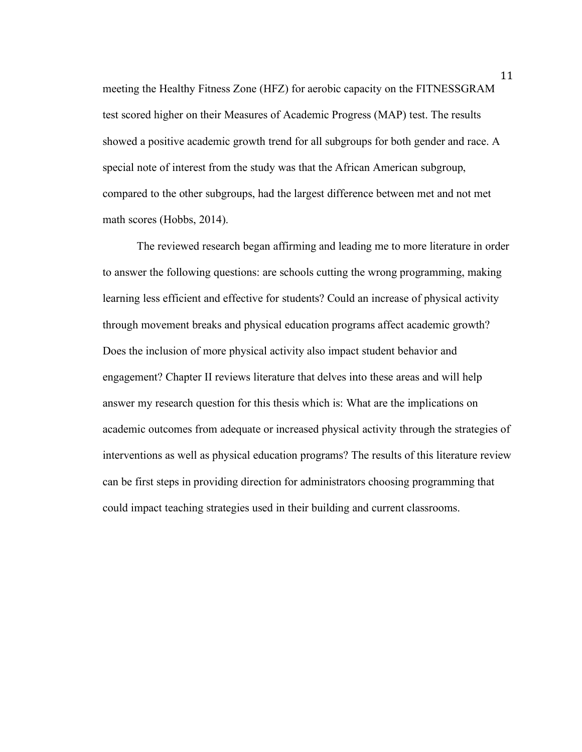meeting the Healthy Fitness Zone (HFZ) for aerobic capacity on the FITNESSGRAM test scored higher on their Measures of Academic Progress (MAP) test. The results showed a positive academic growth trend for all subgroups for both gender and race. A special note of interest from the study was that the African American subgroup, compared to the other subgroups, had the largest difference between met and not met math scores (Hobbs, 2014).

 The reviewed research began affirming and leading me to more literature in order to answer the following questions: are schools cutting the wrong programming, making learning less efficient and effective for students? Could an increase of physical activity through movement breaks and physical education programs affect academic growth? Does the inclusion of more physical activity also impact student behavior and engagement? Chapter II reviews literature that delves into these areas and will help answer my research question for this thesis which is: What are the implications on academic outcomes from adequate or increased physical activity through the strategies of interventions as well as physical education programs? The results of this literature review can be first steps in providing direction for administrators choosing programming that could impact teaching strategies used in their building and current classrooms.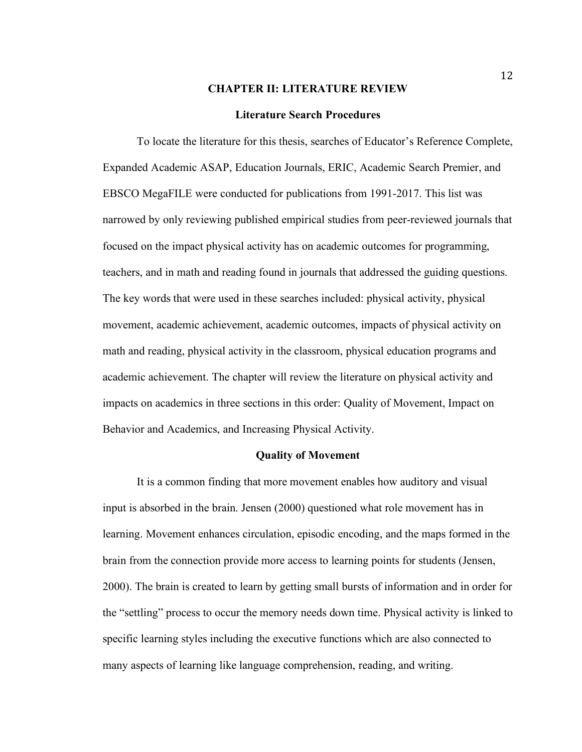#### **CHAPTER II: LITERATURE REVIEW**

#### **Literature Search Procedures**

To locate the literature for this thesis, searches of Educator's Reference Complete, Expanded Academic ASAP, Education Journals, ERIC, Academic Search Premier, and EBSCO MegaFILE were conducted for publications from 1991-2017. This list was narrowed by only reviewing published empirical studies from peer-reviewed journals that focused on the impact physical activity has on academic outcomes for programming, teachers, and in math and reading found in journals that addressed the guiding questions. The key words that were used in these searches included: physical activity, physical movement, academic achievement, academic outcomes, impacts of physical activity on math and reading, physical activity in the classroom, physical education programs and academic achievement. The chapter will review the literature on physical activity and impacts on academics in three sections in this order: Quality of Movement, Impact on Behavior and Academics, and Increasing Physical Activity.

#### **Quality of Movement**

It is a common finding that more movement enables how auditory and visual input is absorbed in the brain. Jensen (2000) questioned what role movement has in learning. Movement enhances circulation, episodic encoding, and the maps formed in the brain from the connection provide more access to learning points for students (Jensen, 2000). The brain is created to learn by getting small bursts of information and in order for the "settling" process to occur the memory needs down time. Physical activity is linked to specific learning styles including the executive functions which are also connected to many aspects of learning like language comprehension, reading, and writing.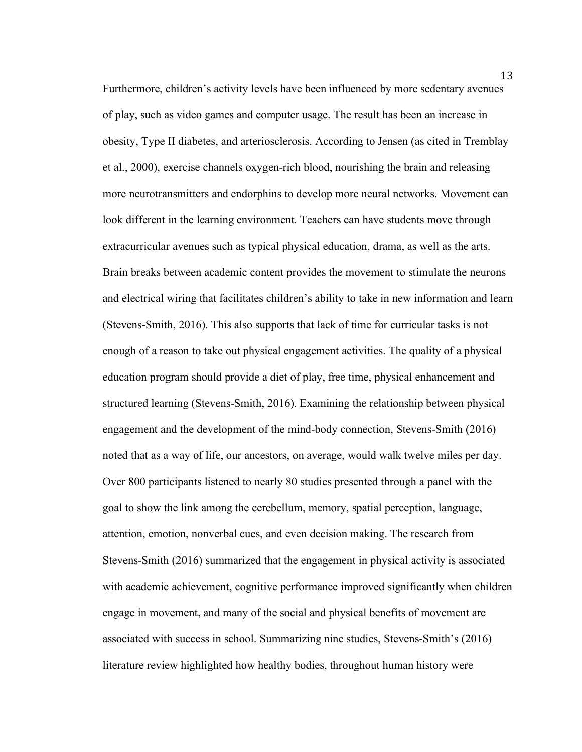Furthermore, children's activity levels have been influenced by more sedentary avenues of play, such as video games and computer usage. The result has been an increase in obesity, Type II diabetes, and arteriosclerosis. According to Jensen (as cited in Tremblay et al., 2000), exercise channels oxygen-rich blood, nourishing the brain and releasing more neurotransmitters and endorphins to develop more neural networks. Movement can look different in the learning environment. Teachers can have students move through extracurricular avenues such as typical physical education, drama, as well as the arts. Brain breaks between academic content provides the movement to stimulate the neurons and electrical wiring that facilitates children's ability to take in new information and learn (Stevens-Smith, 2016). This also supports that lack of time for curricular tasks is not enough of a reason to take out physical engagement activities. The quality of a physical education program should provide a diet of play, free time, physical enhancement and structured learning (Stevens-Smith, 2016). Examining the relationship between physical engagement and the development of the mind-body connection, Stevens-Smith (2016) noted that as a way of life, our ancestors, on average, would walk twelve miles per day. Over 800 participants listened to nearly 80 studies presented through a panel with the goal to show the link among the cerebellum, memory, spatial perception, language, attention, emotion, nonverbal cues, and even decision making. The research from Stevens-Smith (2016) summarized that the engagement in physical activity is associated with academic achievement, cognitive performance improved significantly when children engage in movement, and many of the social and physical benefits of movement are associated with success in school. Summarizing nine studies, Stevens-Smith's (2016) literature review highlighted how healthy bodies, throughout human history were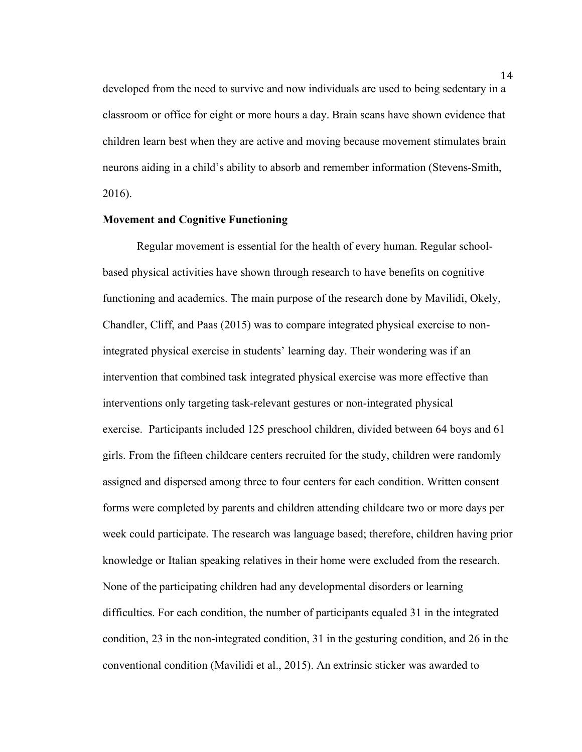developed from the need to survive and now individuals are used to being sedentary in a classroom or office for eight or more hours a day. Brain scans have shown evidence that children learn best when they are active and moving because movement stimulates brain neurons aiding in a child's ability to absorb and remember information (Stevens-Smith, 2016).

#### **Movement and Cognitive Functioning**

Regular movement is essential for the health of every human. Regular schoolbased physical activities have shown through research to have benefits on cognitive functioning and academics. The main purpose of the research done by Mavilidi, Okely, Chandler, Cliff, and Paas (2015) was to compare integrated physical exercise to nonintegrated physical exercise in students' learning day. Their wondering was if an intervention that combined task integrated physical exercise was more effective than interventions only targeting task-relevant gestures or non-integrated physical exercise. Participants included 125 preschool children, divided between 64 boys and 61 girls. From the fifteen childcare centers recruited for the study, children were randomly assigned and dispersed among three to four centers for each condition. Written consent forms were completed by parents and children attending childcare two or more days per week could participate. The research was language based; therefore, children having prior knowledge or Italian speaking relatives in their home were excluded from the research. None of the participating children had any developmental disorders or learning difficulties. For each condition, the number of participants equaled 31 in the integrated condition, 23 in the non-integrated condition, 31 in the gesturing condition, and 26 in the conventional condition (Mavilidi et al., 2015). An extrinsic sticker was awarded to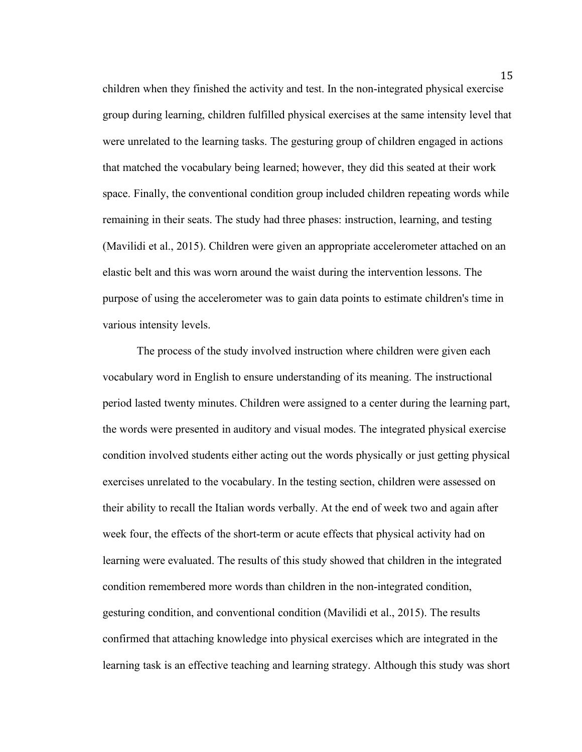children when they finished the activity and test. In the non-integrated physical exercise group during learning, children fulfilled physical exercises at the same intensity level that were unrelated to the learning tasks. The gesturing group of children engaged in actions that matched the vocabulary being learned; however, they did this seated at their work space. Finally, the conventional condition group included children repeating words while remaining in their seats. The study had three phases: instruction, learning, and testing (Mavilidi et al., 2015). Children were given an appropriate accelerometer attached on an elastic belt and this was worn around the waist during the intervention lessons. The purpose of using the accelerometer was to gain data points to estimate children's time in various intensity levels.

The process of the study involved instruction where children were given each vocabulary word in English to ensure understanding of its meaning. The instructional period lasted twenty minutes. Children were assigned to a center during the learning part, the words were presented in auditory and visual modes. The integrated physical exercise condition involved students either acting out the words physically or just getting physical exercises unrelated to the vocabulary. In the testing section, children were assessed on their ability to recall the Italian words verbally. At the end of week two and again after week four, the effects of the short-term or acute effects that physical activity had on learning were evaluated. The results of this study showed that children in the integrated condition remembered more words than children in the non-integrated condition, gesturing condition, and conventional condition (Mavilidi et al., 2015). The results confirmed that attaching knowledge into physical exercises which are integrated in the learning task is an effective teaching and learning strategy. Although this study was short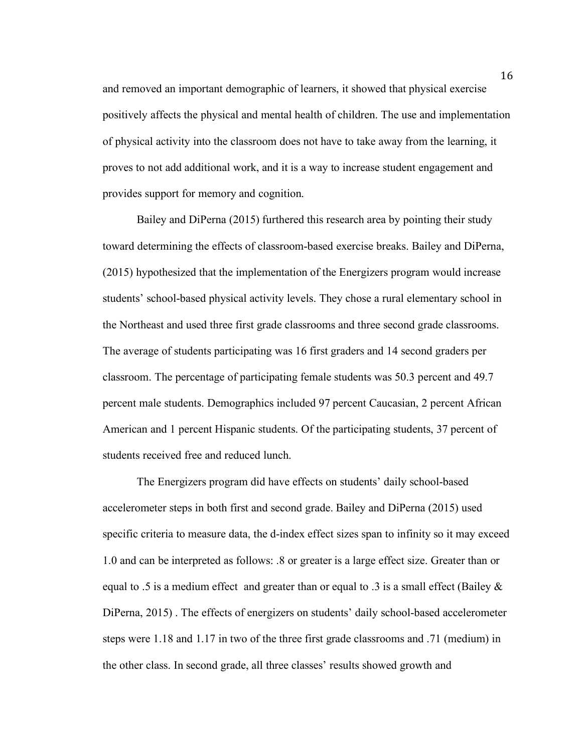and removed an important demographic of learners, it showed that physical exercise positively affects the physical and mental health of children. The use and implementation of physical activity into the classroom does not have to take away from the learning, it proves to not add additional work, and it is a way to increase student engagement and provides support for memory and cognition.

Bailey and DiPerna (2015) furthered this research area by pointing their study toward determining the effects of classroom-based exercise breaks. Bailey and DiPerna, (2015) hypothesized that the implementation of the Energizers program would increase students' school-based physical activity levels. They chose a rural elementary school in the Northeast and used three first grade classrooms and three second grade classrooms. The average of students participating was 16 first graders and 14 second graders per classroom. The percentage of participating female students was 50.3 percent and 49.7 percent male students. Demographics included 97 percent Caucasian, 2 percent African American and 1 percent Hispanic students. Of the participating students, 37 percent of students received free and reduced lunch.

The Energizers program did have effects on students' daily school-based accelerometer steps in both first and second grade. Bailey and DiPerna (2015) used specific criteria to measure data, the d-index effect sizes span to infinity so it may exceed 1.0 and can be interpreted as follows: .8 or greater is a large effect size. Greater than or equal to .5 is a medium effect and greater than or equal to .3 is a small effect (Bailey  $\&$ DiPerna, 2015) . The effects of energizers on students' daily school-based accelerometer steps were 1.18 and 1.17 in two of the three first grade classrooms and .71 (medium) in the other class. In second grade, all three classes' results showed growth and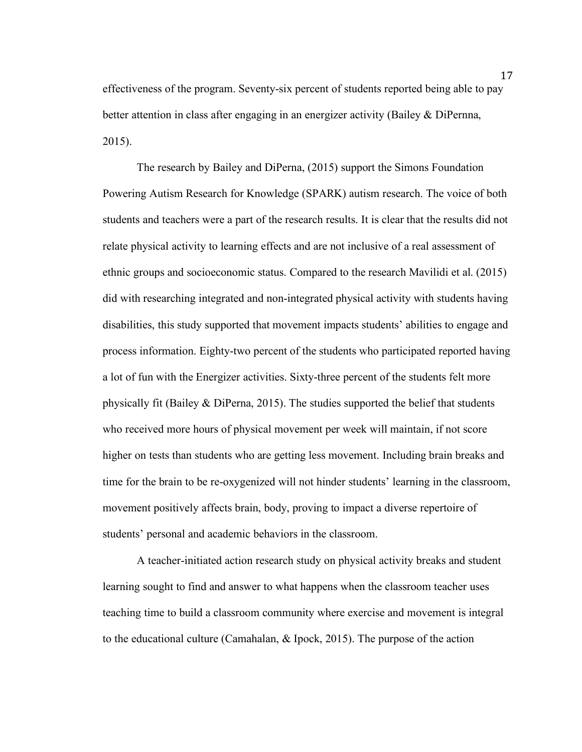effectiveness of the program. Seventy-six percent of students reported being able to pay better attention in class after engaging in an energizer activity (Bailey & DiPernna, 2015).

The research by Bailey and DiPerna, (2015) support the Simons Foundation Powering Autism Research for Knowledge (SPARK) autism research. The voice of both students and teachers were a part of the research results. It is clear that the results did not relate physical activity to learning effects and are not inclusive of a real assessment of ethnic groups and socioeconomic status. Compared to the research Mavilidi et al. (2015) did with researching integrated and non-integrated physical activity with students having disabilities, this study supported that movement impacts students' abilities to engage and process information. Eighty-two percent of the students who participated reported having a lot of fun with the Energizer activities. Sixty-three percent of the students felt more physically fit (Bailey & DiPerna, 2015). The studies supported the belief that students who received more hours of physical movement per week will maintain, if not score higher on tests than students who are getting less movement. Including brain breaks and time for the brain to be re-oxygenized will not hinder students' learning in the classroom, movement positively affects brain, body, proving to impact a diverse repertoire of students' personal and academic behaviors in the classroom.

A teacher-initiated action research study on physical activity breaks and student learning sought to find and answer to what happens when the classroom teacher uses teaching time to build a classroom community where exercise and movement is integral to the educational culture (Camahalan, & Ipock, 2015). The purpose of the action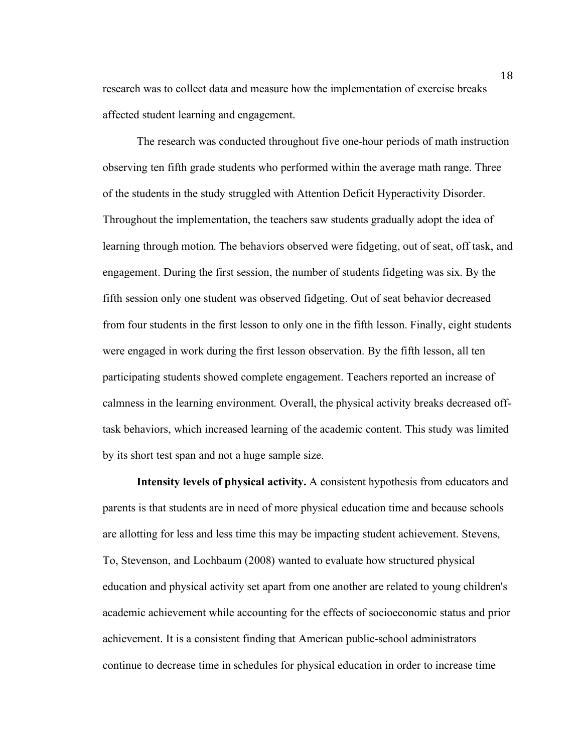research was to collect data and measure how the implementation of exercise breaks affected student learning and engagement.

The research was conducted throughout five one-hour periods of math instruction observing ten fifth grade students who performed within the average math range. Three of the students in the study struggled with Attention Deficit Hyperactivity Disorder. Throughout the implementation, the teachers saw students gradually adopt the idea of learning through motion. The behaviors observed were fidgeting, out of seat, off task, and engagement. During the first session, the number of students fidgeting was six. By the fifth session only one student was observed fidgeting. Out of seat behavior decreased from four students in the first lesson to only one in the fifth lesson. Finally, eight students were engaged in work during the first lesson observation. By the fifth lesson, all ten participating students showed complete engagement. Teachers reported an increase of calmness in the learning environment. Overall, the physical activity breaks decreased offtask behaviors, which increased learning of the academic content. This study was limited by its short test span and not a huge sample size.

**Intensity levels of physical activity.** A consistent hypothesis from educators and parents is that students are in need of more physical education time and because schools are allotting for less and less time this may be impacting student achievement. Stevens, To, Stevenson, and Lochbaum (2008) wanted to evaluate how structured physical education and physical activity set apart from one another are related to young children's academic achievement while accounting for the effects of socioeconomic status and prior achievement. It is a consistent finding that American public-school administrators continue to decrease time in schedules for physical education in order to increase time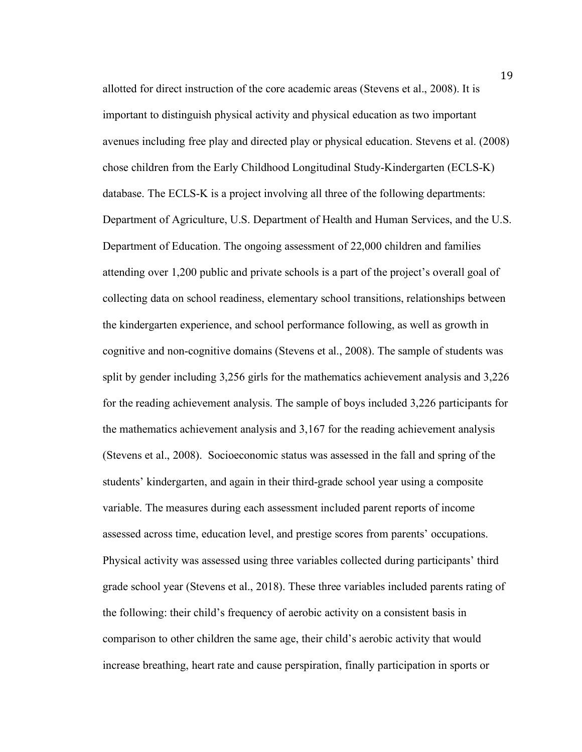allotted for direct instruction of the core academic areas (Stevens et al., 2008). It is important to distinguish physical activity and physical education as two important avenues including free play and directed play or physical education. Stevens et al. (2008) chose children from the Early Childhood Longitudinal Study-Kindergarten (ECLS-K) database. The ECLS-K is a project involving all three of the following departments: Department of Agriculture, U.S. Department of Health and Human Services, and the U.S. Department of Education. The ongoing assessment of 22,000 children and families attending over 1,200 public and private schools is a part of the project's overall goal of collecting data on school readiness, elementary school transitions, relationships between the kindergarten experience, and school performance following, as well as growth in cognitive and non-cognitive domains (Stevens et al., 2008). The sample of students was split by gender including 3,256 girls for the mathematics achievement analysis and 3,226 for the reading achievement analysis. The sample of boys included 3,226 participants for the mathematics achievement analysis and 3,167 for the reading achievement analysis (Stevens et al., 2008). Socioeconomic status was assessed in the fall and spring of the students' kindergarten, and again in their third-grade school year using a composite variable. The measures during each assessment included parent reports of income assessed across time, education level, and prestige scores from parents' occupations. Physical activity was assessed using three variables collected during participants' third grade school year (Stevens et al., 2018). These three variables included parents rating of the following: their child's frequency of aerobic activity on a consistent basis in comparison to other children the same age, their child's aerobic activity that would increase breathing, heart rate and cause perspiration, finally participation in sports or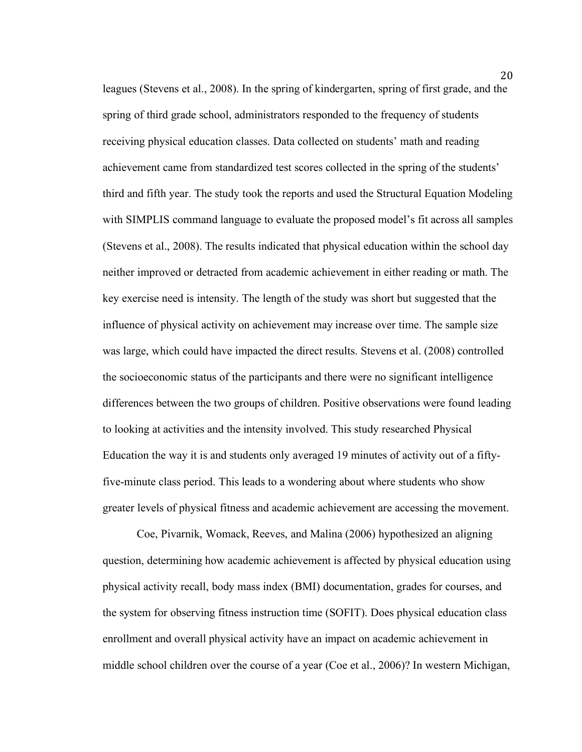leagues (Stevens et al., 2008). In the spring of kindergarten, spring of first grade, and the spring of third grade school, administrators responded to the frequency of students receiving physical education classes. Data collected on students' math and reading achievement came from standardized test scores collected in the spring of the students' third and fifth year. The study took the reports and used the Structural Equation Modeling with SIMPLIS command language to evaluate the proposed model's fit across all samples (Stevens et al., 2008). The results indicated that physical education within the school day neither improved or detracted from academic achievement in either reading or math. The key exercise need is intensity. The length of the study was short but suggested that the influence of physical activity on achievement may increase over time. The sample size was large, which could have impacted the direct results. Stevens et al. (2008) controlled the socioeconomic status of the participants and there were no significant intelligence differences between the two groups of children. Positive observations were found leading to looking at activities and the intensity involved. This study researched Physical Education the way it is and students only averaged 19 minutes of activity out of a fiftyfive-minute class period. This leads to a wondering about where students who show greater levels of physical fitness and academic achievement are accessing the movement.

Coe, Pivarnik, Womack, Reeves, and Malina (2006) hypothesized an aligning question, determining how academic achievement is affected by physical education using physical activity recall, body mass index (BMI) documentation, grades for courses, and the system for observing fitness instruction time (SOFIT). Does physical education class enrollment and overall physical activity have an impact on academic achievement in middle school children over the course of a year (Coe et al., 2006)? In western Michigan,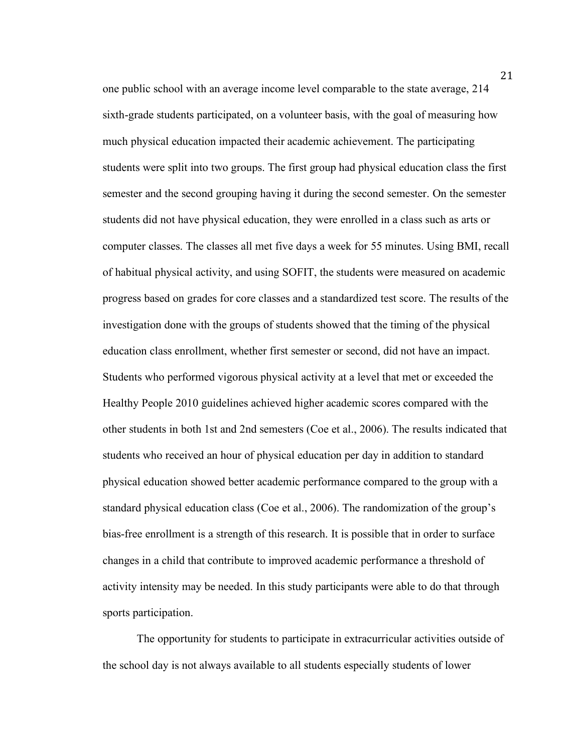one public school with an average income level comparable to the state average, 214 sixth-grade students participated, on a volunteer basis, with the goal of measuring how much physical education impacted their academic achievement. The participating students were split into two groups. The first group had physical education class the first semester and the second grouping having it during the second semester. On the semester students did not have physical education, they were enrolled in a class such as arts or computer classes. The classes all met five days a week for 55 minutes. Using BMI, recall of habitual physical activity, and using SOFIT, the students were measured on academic progress based on grades for core classes and a standardized test score. The results of the investigation done with the groups of students showed that the timing of the physical education class enrollment, whether first semester or second, did not have an impact. Students who performed vigorous physical activity at a level that met or exceeded the Healthy People 2010 guidelines achieved higher academic scores compared with the other students in both 1st and 2nd semesters (Coe et al., 2006). The results indicated that students who received an hour of physical education per day in addition to standard physical education showed better academic performance compared to the group with a standard physical education class (Coe et al., 2006). The randomization of the group's bias-free enrollment is a strength of this research. It is possible that in order to surface changes in a child that contribute to improved academic performance a threshold of activity intensity may be needed. In this study participants were able to do that through sports participation.

The opportunity for students to participate in extracurricular activities outside of the school day is not always available to all students especially students of lower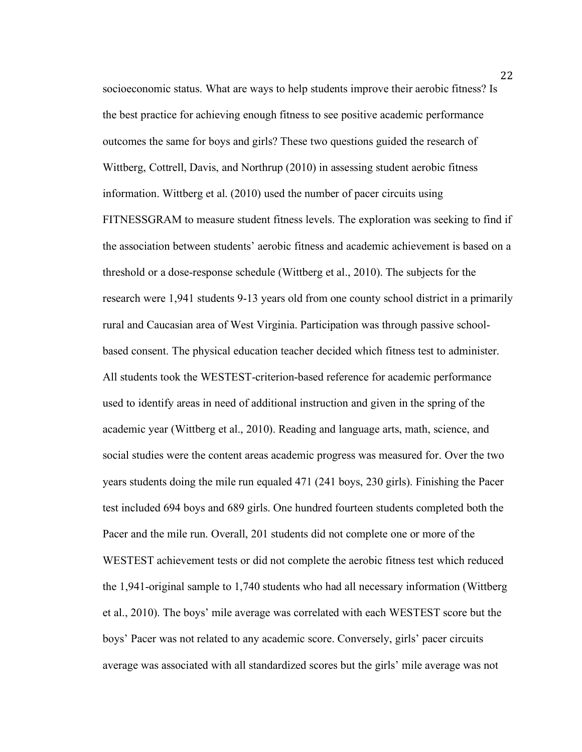socioeconomic status. What are ways to help students improve their aerobic fitness? Is the best practice for achieving enough fitness to see positive academic performance outcomes the same for boys and girls? These two questions guided the research of Wittberg, Cottrell, Davis, and Northrup (2010) in assessing student aerobic fitness information. Wittberg et al. (2010) used the number of pacer circuits using FITNESSGRAM to measure student fitness levels. The exploration was seeking to find if the association between students' aerobic fitness and academic achievement is based on a threshold or a dose-response schedule (Wittberg et al., 2010). The subjects for the research were 1,941 students 9-13 years old from one county school district in a primarily rural and Caucasian area of West Virginia. Participation was through passive schoolbased consent. The physical education teacher decided which fitness test to administer. All students took the WESTEST-criterion-based reference for academic performance used to identify areas in need of additional instruction and given in the spring of the academic year (Wittberg et al., 2010). Reading and language arts, math, science, and social studies were the content areas academic progress was measured for. Over the two years students doing the mile run equaled 471 (241 boys, 230 girls). Finishing the Pacer test included 694 boys and 689 girls. One hundred fourteen students completed both the Pacer and the mile run. Overall, 201 students did not complete one or more of the WESTEST achievement tests or did not complete the aerobic fitness test which reduced the 1,941-original sample to 1,740 students who had all necessary information (Wittberg et al., 2010). The boys' mile average was correlated with each WESTEST score but the boys' Pacer was not related to any academic score. Conversely, girls' pacer circuits average was associated with all standardized scores but the girls' mile average was not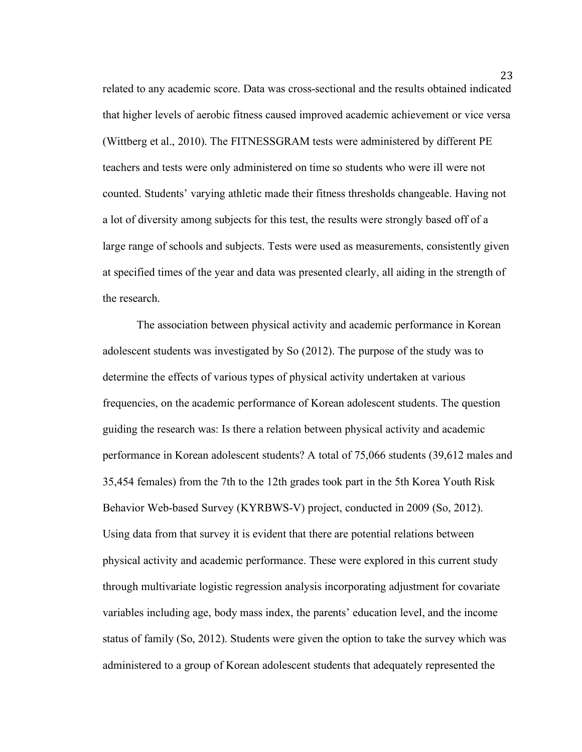related to any academic score. Data was cross-sectional and the results obtained indicated that higher levels of aerobic fitness caused improved academic achievement or vice versa (Wittberg et al., 2010). The FITNESSGRAM tests were administered by different PE teachers and tests were only administered on time so students who were ill were not counted. Students' varying athletic made their fitness thresholds changeable. Having not a lot of diversity among subjects for this test, the results were strongly based off of a large range of schools and subjects. Tests were used as measurements, consistently given at specified times of the year and data was presented clearly, all aiding in the strength of the research.

The association between physical activity and academic performance in Korean adolescent students was investigated by So (2012). The purpose of the study was to determine the effects of various types of physical activity undertaken at various frequencies, on the academic performance of Korean adolescent students. The question guiding the research was: Is there a relation between physical activity and academic performance in Korean adolescent students? A total of 75,066 students (39,612 males and 35,454 females) from the 7th to the 12th grades took part in the 5th Korea Youth Risk Behavior Web-based Survey (KYRBWS-V) project, conducted in 2009 (So, 2012). Using data from that survey it is evident that there are potential relations between physical activity and academic performance. These were explored in this current study through multivariate logistic regression analysis incorporating adjustment for covariate variables including age, body mass index, the parents' education level, and the income status of family (So, 2012). Students were given the option to take the survey which was administered to a group of Korean adolescent students that adequately represented the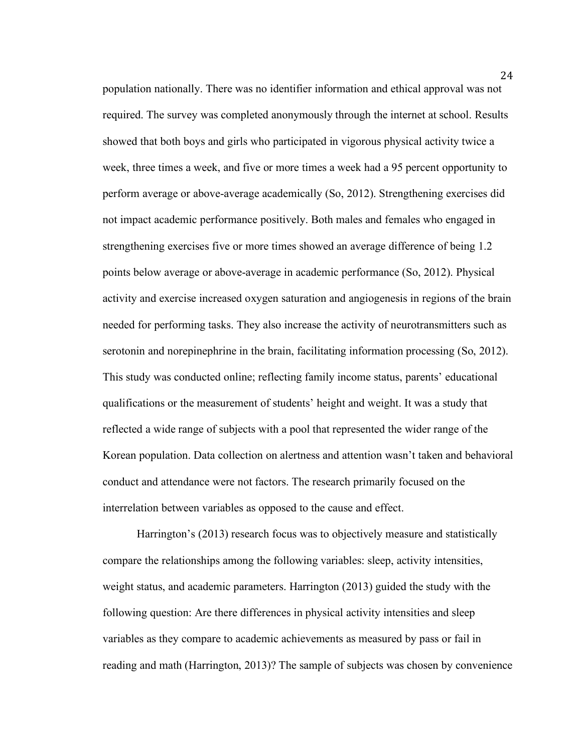population nationally. There was no identifier information and ethical approval was not required. The survey was completed anonymously through the internet at school. Results showed that both boys and girls who participated in vigorous physical activity twice a week, three times a week, and five or more times a week had a 95 percent opportunity to perform average or above-average academically (So, 2012). Strengthening exercises did not impact academic performance positively. Both males and females who engaged in strengthening exercises five or more times showed an average difference of being 1.2 points below average or above-average in academic performance (So, 2012). Physical activity and exercise increased oxygen saturation and angiogenesis in regions of the brain needed for performing tasks. They also increase the activity of neurotransmitters such as serotonin and norepinephrine in the brain, facilitating information processing (So, 2012). This study was conducted online; reflecting family income status, parents' educational qualifications or the measurement of students' height and weight. It was a study that reflected a wide range of subjects with a pool that represented the wider range of the Korean population. Data collection on alertness and attention wasn't taken and behavioral conduct and attendance were not factors. The research primarily focused on the interrelation between variables as opposed to the cause and effect.

Harrington's (2013) research focus was to objectively measure and statistically compare the relationships among the following variables: sleep, activity intensities, weight status, and academic parameters. Harrington (2013) guided the study with the following question: Are there differences in physical activity intensities and sleep variables as they compare to academic achievements as measured by pass or fail in reading and math (Harrington, 2013)? The sample of subjects was chosen by convenience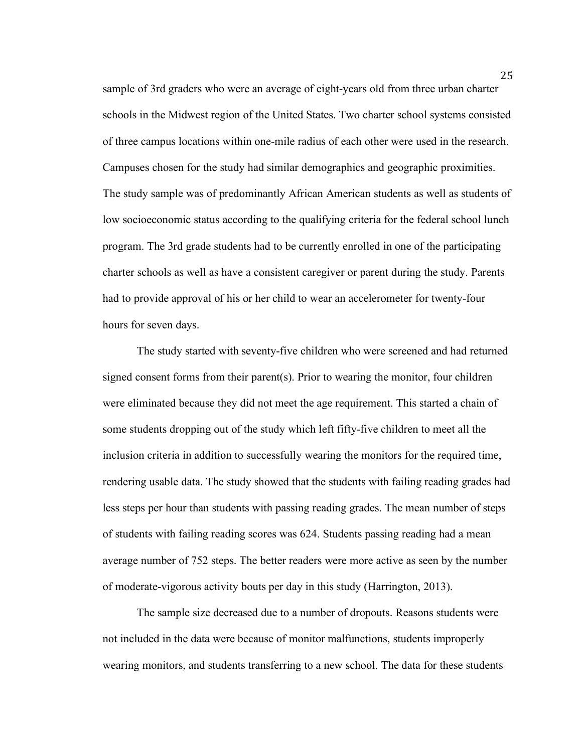sample of 3rd graders who were an average of eight-years old from three urban charter schools in the Midwest region of the United States. Two charter school systems consisted of three campus locations within one-mile radius of each other were used in the research. Campuses chosen for the study had similar demographics and geographic proximities. The study sample was of predominantly African American students as well as students of low socioeconomic status according to the qualifying criteria for the federal school lunch program. The 3rd grade students had to be currently enrolled in one of the participating charter schools as well as have a consistent caregiver or parent during the study. Parents had to provide approval of his or her child to wear an accelerometer for twenty-four hours for seven days.

The study started with seventy-five children who were screened and had returned signed consent forms from their parent(s). Prior to wearing the monitor, four children were eliminated because they did not meet the age requirement. This started a chain of some students dropping out of the study which left fifty-five children to meet all the inclusion criteria in addition to successfully wearing the monitors for the required time, rendering usable data. The study showed that the students with failing reading grades had less steps per hour than students with passing reading grades. The mean number of steps of students with failing reading scores was 624. Students passing reading had a mean average number of 752 steps. The better readers were more active as seen by the number of moderate-vigorous activity bouts per day in this study (Harrington, 2013).

The sample size decreased due to a number of dropouts. Reasons students were not included in the data were because of monitor malfunctions, students improperly wearing monitors, and students transferring to a new school. The data for these students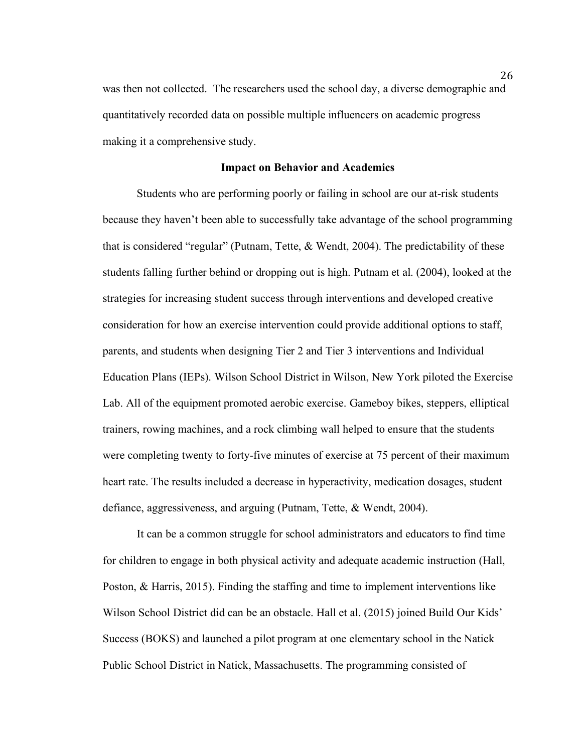was then not collected. The researchers used the school day, a diverse demographic and quantitatively recorded data on possible multiple influencers on academic progress making it a comprehensive study.

#### **Impact on Behavior and Academics**

Students who are performing poorly or failing in school are our at-risk students because they haven't been able to successfully take advantage of the school programming that is considered "regular" (Putnam, Tette, & Wendt, 2004). The predictability of these students falling further behind or dropping out is high. Putnam et al. (2004), looked at the strategies for increasing student success through interventions and developed creative consideration for how an exercise intervention could provide additional options to staff, parents, and students when designing Tier 2 and Tier 3 interventions and Individual Education Plans (IEPs). Wilson School District in Wilson, New York piloted the Exercise Lab. All of the equipment promoted aerobic exercise. Gameboy bikes, steppers, elliptical trainers, rowing machines, and a rock climbing wall helped to ensure that the students were completing twenty to forty-five minutes of exercise at 75 percent of their maximum heart rate. The results included a decrease in hyperactivity, medication dosages, student defiance, aggressiveness, and arguing (Putnam, Tette, & Wendt, 2004).

 It can be a common struggle for school administrators and educators to find time for children to engage in both physical activity and adequate academic instruction (Hall, Poston, & Harris, 2015). Finding the staffing and time to implement interventions like Wilson School District did can be an obstacle. Hall et al. (2015) joined Build Our Kids' Success (BOKS) and launched a pilot program at one elementary school in the Natick Public School District in Natick, Massachusetts. The programming consisted of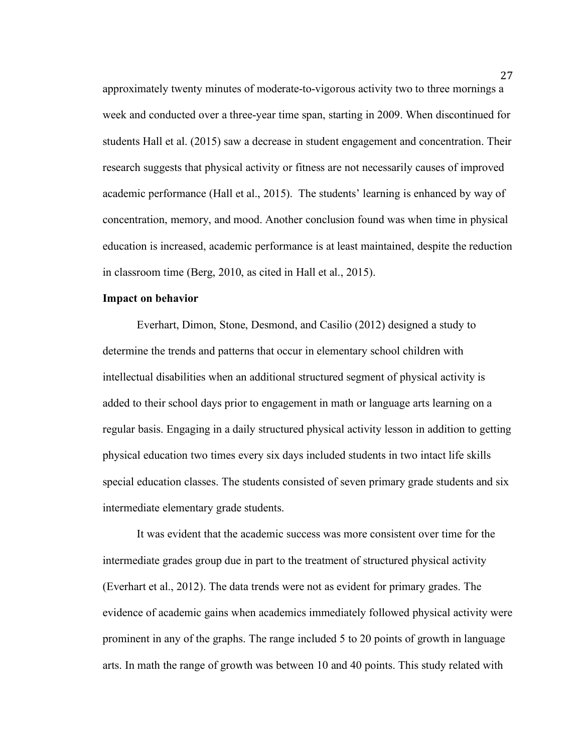approximately twenty minutes of moderate-to-vigorous activity two to three mornings a week and conducted over a three-year time span, starting in 2009. When discontinued for students Hall et al. (2015) saw a decrease in student engagement and concentration. Their research suggests that physical activity or fitness are not necessarily causes of improved academic performance (Hall et al., 2015). The students' learning is enhanced by way of concentration, memory, and mood. Another conclusion found was when time in physical education is increased, academic performance is at least maintained, despite the reduction in classroom time (Berg, 2010, as cited in Hall et al., 2015).

#### **Impact on behavior**

Everhart, Dimon, Stone, Desmond, and Casilio (2012) designed a study to determine the trends and patterns that occur in elementary school children with intellectual disabilities when an additional structured segment of physical activity is added to their school days prior to engagement in math or language arts learning on a regular basis. Engaging in a daily structured physical activity lesson in addition to getting physical education two times every six days included students in two intact life skills special education classes. The students consisted of seven primary grade students and six intermediate elementary grade students.

It was evident that the academic success was more consistent over time for the intermediate grades group due in part to the treatment of structured physical activity (Everhart et al., 2012). The data trends were not as evident for primary grades. The evidence of academic gains when academics immediately followed physical activity were prominent in any of the graphs. The range included 5 to 20 points of growth in language arts. In math the range of growth was between 10 and 40 points. This study related with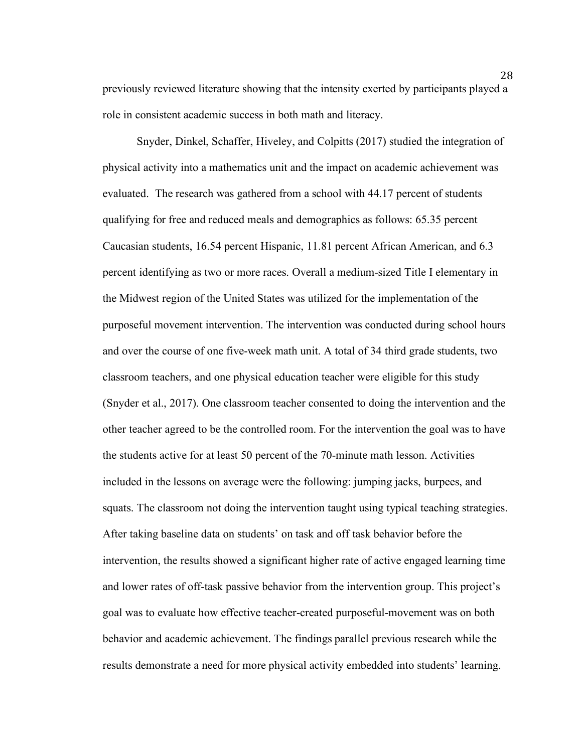previously reviewed literature showing that the intensity exerted by participants played a role in consistent academic success in both math and literacy.

Snyder, Dinkel, Schaffer, Hiveley, and Colpitts (2017) studied the integration of physical activity into a mathematics unit and the impact on academic achievement was evaluated. The research was gathered from a school with 44.17 percent of students qualifying for free and reduced meals and demographics as follows: 65.35 percent Caucasian students, 16.54 percent Hispanic, 11.81 percent African American, and 6.3 percent identifying as two or more races. Overall a medium-sized Title I elementary in the Midwest region of the United States was utilized for the implementation of the purposeful movement intervention. The intervention was conducted during school hours and over the course of one five-week math unit. A total of 34 third grade students, two classroom teachers, and one physical education teacher were eligible for this study (Snyder et al., 2017). One classroom teacher consented to doing the intervention and the other teacher agreed to be the controlled room. For the intervention the goal was to have the students active for at least 50 percent of the 70-minute math lesson. Activities included in the lessons on average were the following: jumping jacks, burpees, and squats. The classroom not doing the intervention taught using typical teaching strategies. After taking baseline data on students' on task and off task behavior before the intervention, the results showed a significant higher rate of active engaged learning time and lower rates of off-task passive behavior from the intervention group. This project's goal was to evaluate how effective teacher-created purposeful-movement was on both behavior and academic achievement. The findings parallel previous research while the results demonstrate a need for more physical activity embedded into students' learning.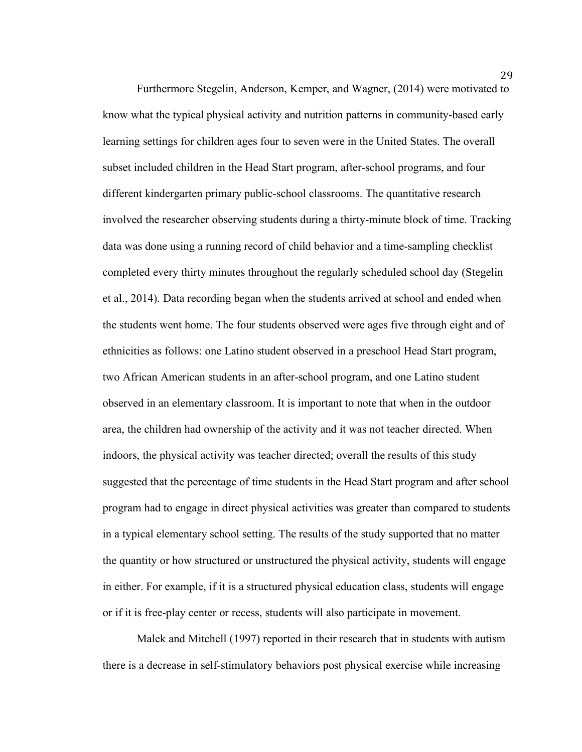Furthermore Stegelin, Anderson, Kemper, and Wagner, (2014) were motivated to know what the typical physical activity and nutrition patterns in community-based early learning settings for children ages four to seven were in the United States. The overall subset included children in the Head Start program, after-school programs, and four different kindergarten primary public-school classrooms. The quantitative research involved the researcher observing students during a thirty-minute block of time. Tracking data was done using a running record of child behavior and a time-sampling checklist completed every thirty minutes throughout the regularly scheduled school day (Stegelin et al., 2014). Data recording began when the students arrived at school and ended when the students went home. The four students observed were ages five through eight and of ethnicities as follows: one Latino student observed in a preschool Head Start program, two African American students in an after-school program, and one Latino student observed in an elementary classroom. It is important to note that when in the outdoor area, the children had ownership of the activity and it was not teacher directed. When indoors, the physical activity was teacher directed; overall the results of this study suggested that the percentage of time students in the Head Start program and after school program had to engage in direct physical activities was greater than compared to students in a typical elementary school setting. The results of the study supported that no matter the quantity or how structured or unstructured the physical activity, students will engage in either. For example, if it is a structured physical education class, students will engage or if it is free-play center or recess, students will also participate in movement.

Malek and Mitchell (1997) reported in their research that in students with autism there is a decrease in self-stimulatory behaviors post physical exercise while increasing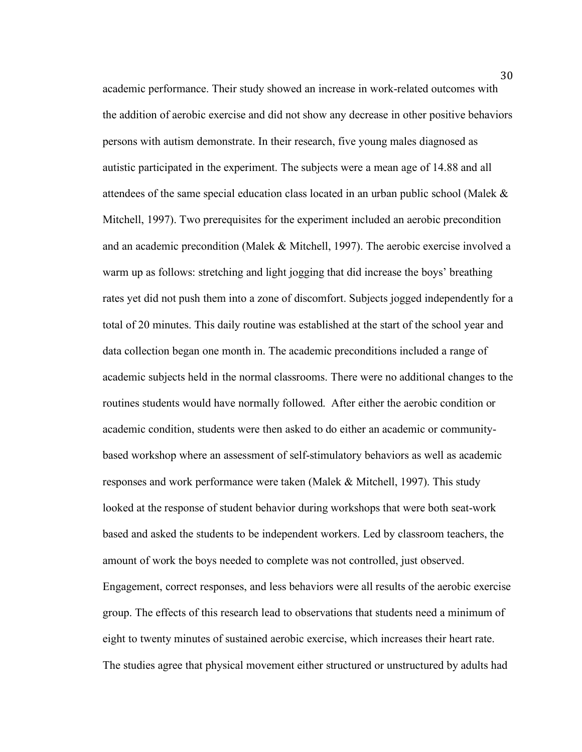academic performance. Their study showed an increase in work-related outcomes with the addition of aerobic exercise and did not show any decrease in other positive behaviors persons with autism demonstrate. In their research, five young males diagnosed as autistic participated in the experiment. The subjects were a mean age of 14.88 and all attendees of the same special education class located in an urban public school (Malek & Mitchell, 1997). Two prerequisites for the experiment included an aerobic precondition and an academic precondition (Malek & Mitchell, 1997). The aerobic exercise involved a warm up as follows: stretching and light jogging that did increase the boys' breathing rates yet did not push them into a zone of discomfort. Subjects jogged independently for a total of 20 minutes. This daily routine was established at the start of the school year and data collection began one month in. The academic preconditions included a range of academic subjects held in the normal classrooms. There were no additional changes to the routines students would have normally followed. After either the aerobic condition or academic condition, students were then asked to do either an academic or communitybased workshop where an assessment of self-stimulatory behaviors as well as academic responses and work performance were taken (Malek & Mitchell, 1997). This study looked at the response of student behavior during workshops that were both seat-work based and asked the students to be independent workers. Led by classroom teachers, the amount of work the boys needed to complete was not controlled, just observed. Engagement, correct responses, and less behaviors were all results of the aerobic exercise group. The effects of this research lead to observations that students need a minimum of eight to twenty minutes of sustained aerobic exercise, which increases their heart rate. The studies agree that physical movement either structured or unstructured by adults had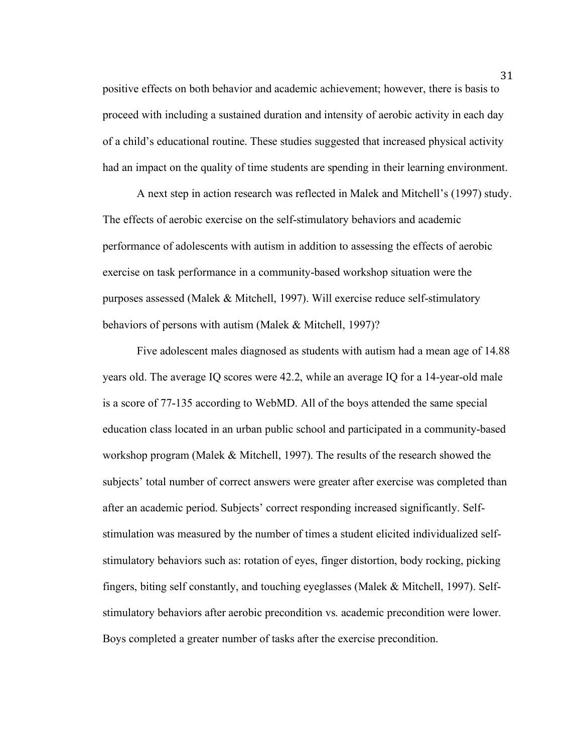positive effects on both behavior and academic achievement; however, there is basis to proceed with including a sustained duration and intensity of aerobic activity in each day of a child's educational routine. These studies suggested that increased physical activity had an impact on the quality of time students are spending in their learning environment.

A next step in action research was reflected in Malek and Mitchell's (1997) study. The effects of aerobic exercise on the self-stimulatory behaviors and academic performance of adolescents with autism in addition to assessing the effects of aerobic exercise on task performance in a community-based workshop situation were the purposes assessed (Malek & Mitchell, 1997). Will exercise reduce self-stimulatory behaviors of persons with autism (Malek & Mitchell, 1997)?

Five adolescent males diagnosed as students with autism had a mean age of 14.88 years old. The average IQ scores were 42.2, while an average IQ for a 14-year-old male is a score of 77-135 according to WebMD. All of the boys attended the same special education class located in an urban public school and participated in a community-based workshop program (Malek & Mitchell, 1997). The results of the research showed the subjects' total number of correct answers were greater after exercise was completed than after an academic period. Subjects' correct responding increased significantly. Selfstimulation was measured by the number of times a student elicited individualized selfstimulatory behaviors such as: rotation of eyes, finger distortion, body rocking, picking fingers, biting self constantly, and touching eyeglasses (Malek & Mitchell, 1997). Selfstimulatory behaviors after aerobic precondition vs. academic precondition were lower. Boys completed a greater number of tasks after the exercise precondition.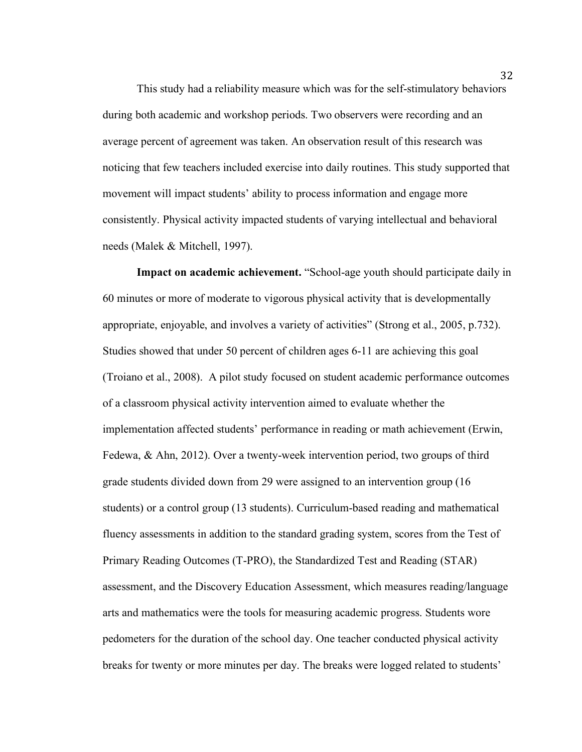This study had a reliability measure which was for the self-stimulatory behaviors during both academic and workshop periods. Two observers were recording and an average percent of agreement was taken. An observation result of this research was noticing that few teachers included exercise into daily routines. This study supported that movement will impact students' ability to process information and engage more consistently. Physical activity impacted students of varying intellectual and behavioral needs (Malek & Mitchell, 1997).

**Impact on academic achievement.** "School-age youth should participate daily in 60 minutes or more of moderate to vigorous physical activity that is developmentally appropriate, enjoyable, and involves a variety of activities" (Strong et al., 2005, p.732). Studies showed that under 50 percent of children ages 6-11 are achieving this goal (Troiano et al., 2008). A pilot study focused on student academic performance outcomes of a classroom physical activity intervention aimed to evaluate whether the implementation affected students' performance in reading or math achievement (Erwin, Fedewa, & Ahn, 2012). Over a twenty-week intervention period, two groups of third grade students divided down from 29 were assigned to an intervention group (16 students) or a control group (13 students). Curriculum-based reading and mathematical fluency assessments in addition to the standard grading system, scores from the Test of Primary Reading Outcomes (T-PRO), the Standardized Test and Reading (STAR) assessment, and the Discovery Education Assessment, which measures reading/language arts and mathematics were the tools for measuring academic progress. Students wore pedometers for the duration of the school day. One teacher conducted physical activity breaks for twenty or more minutes per day. The breaks were logged related to students'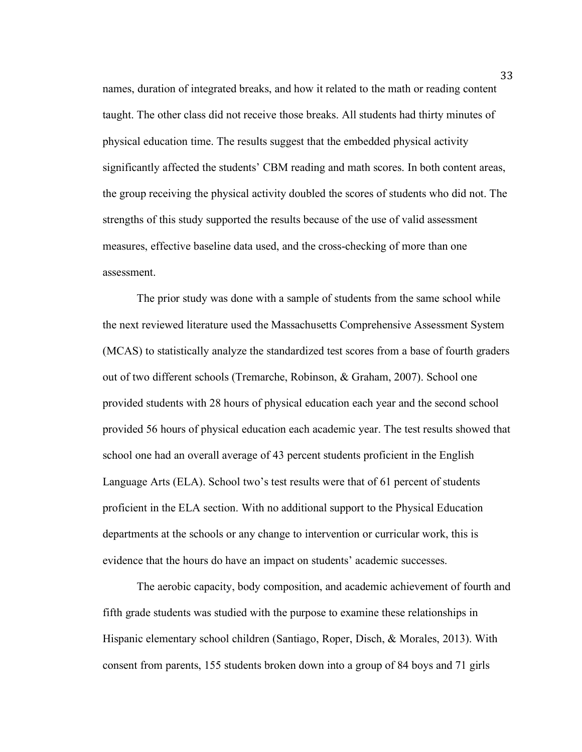names, duration of integrated breaks, and how it related to the math or reading content taught. The other class did not receive those breaks. All students had thirty minutes of physical education time. The results suggest that the embedded physical activity significantly affected the students' CBM reading and math scores. In both content areas, the group receiving the physical activity doubled the scores of students who did not. The strengths of this study supported the results because of the use of valid assessment measures, effective baseline data used, and the cross-checking of more than one assessment.

The prior study was done with a sample of students from the same school while the next reviewed literature used the Massachusetts Comprehensive Assessment System (MCAS) to statistically analyze the standardized test scores from a base of fourth graders out of two different schools (Tremarche, Robinson, & Graham, 2007). School one provided students with 28 hours of physical education each year and the second school provided 56 hours of physical education each academic year. The test results showed that school one had an overall average of 43 percent students proficient in the English Language Arts (ELA). School two's test results were that of 61 percent of students proficient in the ELA section. With no additional support to the Physical Education departments at the schools or any change to intervention or curricular work, this is evidence that the hours do have an impact on students' academic successes.

The aerobic capacity, body composition, and academic achievement of fourth and fifth grade students was studied with the purpose to examine these relationships in Hispanic elementary school children (Santiago, Roper, Disch, & Morales, 2013). With consent from parents, 155 students broken down into a group of 84 boys and 71 girls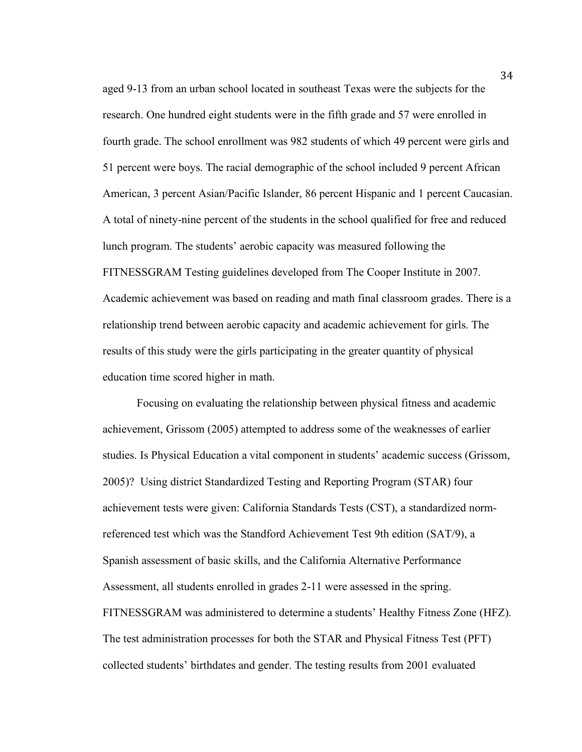aged 9-13 from an urban school located in southeast Texas were the subjects for the research. One hundred eight students were in the fifth grade and 57 were enrolled in fourth grade. The school enrollment was 982 students of which 49 percent were girls and 51 percent were boys. The racial demographic of the school included 9 percent African American, 3 percent Asian/Pacific Islander, 86 percent Hispanic and 1 percent Caucasian. A total of ninety-nine percent of the students in the school qualified for free and reduced lunch program. The students' aerobic capacity was measured following the FITNESSGRAM Testing guidelines developed from The Cooper Institute in 2007. Academic achievement was based on reading and math final classroom grades. There is a relationship trend between aerobic capacity and academic achievement for girls. The results of this study were the girls participating in the greater quantity of physical education time scored higher in math.

Focusing on evaluating the relationship between physical fitness and academic achievement, Grissom (2005) attempted to address some of the weaknesses of earlier studies. Is Physical Education a vital component in students' academic success (Grissom, 2005)? Using district Standardized Testing and Reporting Program (STAR) four achievement tests were given: California Standards Tests (CST), a standardized normreferenced test which was the Standford Achievement Test 9th edition (SAT/9), a Spanish assessment of basic skills, and the California Alternative Performance Assessment, all students enrolled in grades 2-11 were assessed in the spring. FITNESSGRAM was administered to determine a students' Healthy Fitness Zone (HFZ). The test administration processes for both the STAR and Physical Fitness Test (PFT) collected students' birthdates and gender. The testing results from 2001 evaluated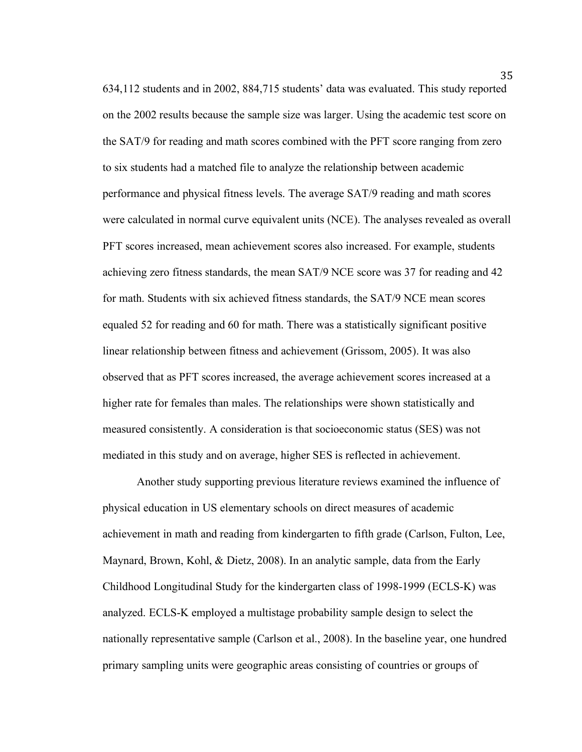634,112 students and in 2002, 884,715 students' data was evaluated. This study reported on the 2002 results because the sample size was larger. Using the academic test score on the SAT/9 for reading and math scores combined with the PFT score ranging from zero to six students had a matched file to analyze the relationship between academic performance and physical fitness levels. The average SAT/9 reading and math scores were calculated in normal curve equivalent units (NCE). The analyses revealed as overall PFT scores increased, mean achievement scores also increased. For example, students achieving zero fitness standards, the mean SAT/9 NCE score was 37 for reading and 42 for math. Students with six achieved fitness standards, the SAT/9 NCE mean scores equaled 52 for reading and 60 for math. There was a statistically significant positive linear relationship between fitness and achievement (Grissom, 2005). It was also observed that as PFT scores increased, the average achievement scores increased at a higher rate for females than males. The relationships were shown statistically and measured consistently. A consideration is that socioeconomic status (SES) was not mediated in this study and on average, higher SES is reflected in achievement.

Another study supporting previous literature reviews examined the influence of physical education in US elementary schools on direct measures of academic achievement in math and reading from kindergarten to fifth grade (Carlson, Fulton, Lee, Maynard, Brown, Kohl, & Dietz, 2008). In an analytic sample, data from the Early Childhood Longitudinal Study for the kindergarten class of 1998-1999 (ECLS-K) was analyzed. ECLS-K employed a multistage probability sample design to select the nationally representative sample (Carlson et al., 2008). In the baseline year, one hundred primary sampling units were geographic areas consisting of countries or groups of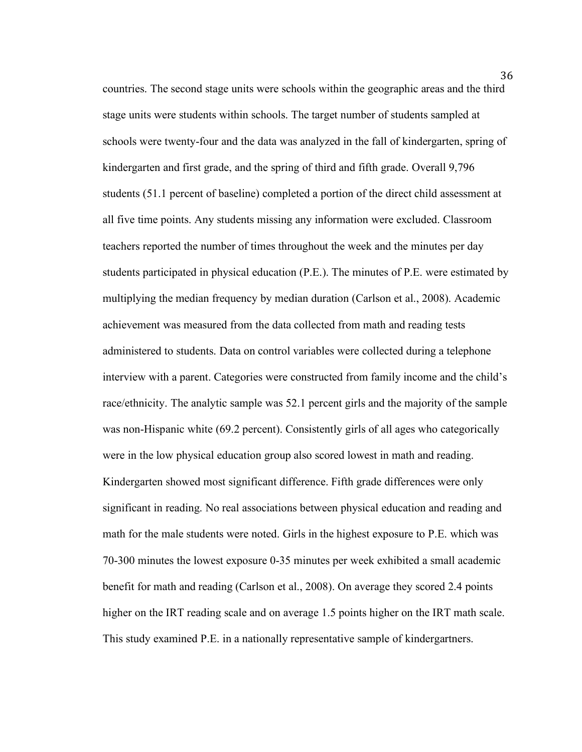countries. The second stage units were schools within the geographic areas and the third stage units were students within schools. The target number of students sampled at schools were twenty-four and the data was analyzed in the fall of kindergarten, spring of kindergarten and first grade, and the spring of third and fifth grade. Overall 9,796 students (51.1 percent of baseline) completed a portion of the direct child assessment at all five time points. Any students missing any information were excluded. Classroom teachers reported the number of times throughout the week and the minutes per day students participated in physical education (P.E.). The minutes of P.E. were estimated by multiplying the median frequency by median duration (Carlson et al., 2008). Academic achievement was measured from the data collected from math and reading tests administered to students. Data on control variables were collected during a telephone interview with a parent. Categories were constructed from family income and the child's race/ethnicity. The analytic sample was 52.1 percent girls and the majority of the sample was non-Hispanic white (69.2 percent). Consistently girls of all ages who categorically were in the low physical education group also scored lowest in math and reading. Kindergarten showed most significant difference. Fifth grade differences were only significant in reading. No real associations between physical education and reading and math for the male students were noted. Girls in the highest exposure to P.E. which was 70-300 minutes the lowest exposure 0-35 minutes per week exhibited a small academic benefit for math and reading (Carlson et al., 2008). On average they scored 2.4 points higher on the IRT reading scale and on average 1.5 points higher on the IRT math scale. This study examined P.E. in a nationally representative sample of kindergartners.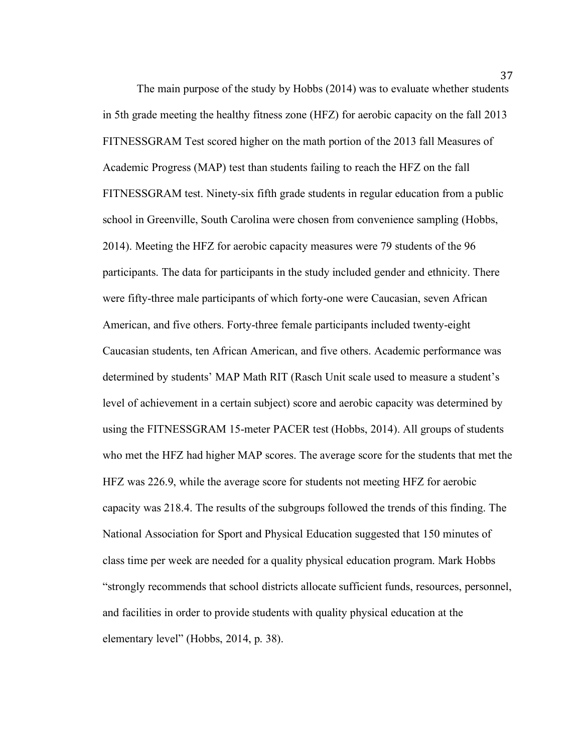The main purpose of the study by Hobbs (2014) was to evaluate whether students in 5th grade meeting the healthy fitness zone (HFZ) for aerobic capacity on the fall 2013 FITNESSGRAM Test scored higher on the math portion of the 2013 fall Measures of Academic Progress (MAP) test than students failing to reach the HFZ on the fall FITNESSGRAM test. Ninety-six fifth grade students in regular education from a public school in Greenville, South Carolina were chosen from convenience sampling (Hobbs, 2014). Meeting the HFZ for aerobic capacity measures were 79 students of the 96 participants. The data for participants in the study included gender and ethnicity. There were fifty-three male participants of which forty-one were Caucasian, seven African American, and five others. Forty-three female participants included twenty-eight Caucasian students, ten African American, and five others. Academic performance was determined by students' MAP Math RIT (Rasch Unit scale used to measure a student's level of achievement in a certain subject) score and aerobic capacity was determined by using the FITNESSGRAM 15-meter PACER test (Hobbs, 2014). All groups of students who met the HFZ had higher MAP scores. The average score for the students that met the HFZ was 226.9, while the average score for students not meeting HFZ for aerobic capacity was 218.4. The results of the subgroups followed the trends of this finding. The National Association for Sport and Physical Education suggested that 150 minutes of class time per week are needed for a quality physical education program. Mark Hobbs "strongly recommends that school districts allocate sufficient funds, resources, personnel, and facilities in order to provide students with quality physical education at the elementary level" (Hobbs, 2014, p. 38).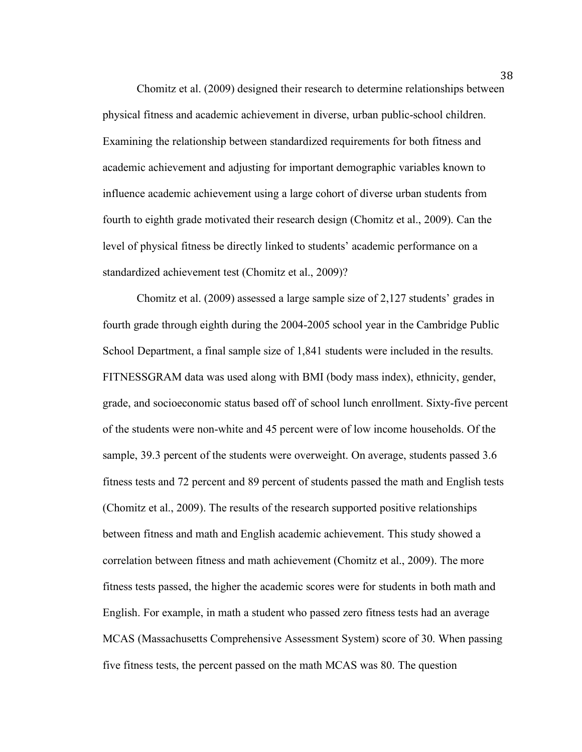Chomitz et al. (2009) designed their research to determine relationships between physical fitness and academic achievement in diverse, urban public-school children. Examining the relationship between standardized requirements for both fitness and academic achievement and adjusting for important demographic variables known to influence academic achievement using a large cohort of diverse urban students from fourth to eighth grade motivated their research design (Chomitz et al., 2009). Can the level of physical fitness be directly linked to students' academic performance on a standardized achievement test (Chomitz et al., 2009)?

Chomitz et al. (2009) assessed a large sample size of 2,127 students' grades in fourth grade through eighth during the 2004-2005 school year in the Cambridge Public School Department, a final sample size of 1,841 students were included in the results. FITNESSGRAM data was used along with BMI (body mass index), ethnicity, gender, grade, and socioeconomic status based off of school lunch enrollment. Sixty-five percent of the students were non-white and 45 percent were of low income households. Of the sample, 39.3 percent of the students were overweight. On average, students passed 3.6 fitness tests and 72 percent and 89 percent of students passed the math and English tests (Chomitz et al., 2009). The results of the research supported positive relationships between fitness and math and English academic achievement. This study showed a correlation between fitness and math achievement (Chomitz et al., 2009). The more fitness tests passed, the higher the academic scores were for students in both math and English. For example, in math a student who passed zero fitness tests had an average MCAS (Massachusetts Comprehensive Assessment System) score of 30. When passing five fitness tests, the percent passed on the math MCAS was 80. The question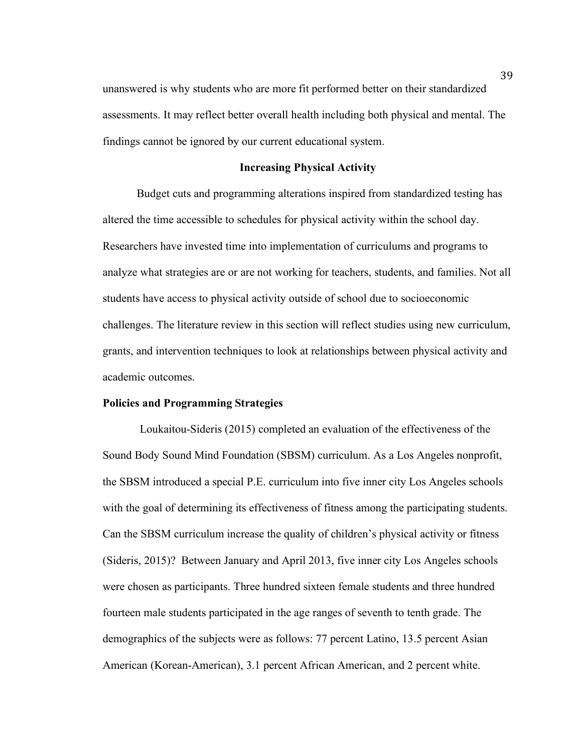unanswered is why students who are more fit performed better on their standardized assessments. It may reflect better overall health including both physical and mental. The findings cannot be ignored by our current educational system.

#### **Increasing Physical Activity**

Budget cuts and programming alterations inspired from standardized testing has altered the time accessible to schedules for physical activity within the school day. Researchers have invested time into implementation of curriculums and programs to analyze what strategies are or are not working for teachers, students, and families. Not all students have access to physical activity outside of school due to socioeconomic challenges. The literature review in this section will reflect studies using new curriculum, grants, and intervention techniques to look at relationships between physical activity and academic outcomes.

### **Policies and Programming Strategies**

Loukaitou-Sideris (2015) completed an evaluation of the effectiveness of the Sound Body Sound Mind Foundation (SBSM) curriculum. As a Los Angeles nonprofit, the SBSM introduced a special P.E. curriculum into five inner city Los Angeles schools with the goal of determining its effectiveness of fitness among the participating students. Can the SBSM curriculum increase the quality of children's physical activity or fitness (Sideris, 2015)? Between January and April 2013, five inner city Los Angeles schools were chosen as participants. Three hundred sixteen female students and three hundred fourteen male students participated in the age ranges of seventh to tenth grade. The demographics of the subjects were as follows: 77 percent Latino, 13.5 percent Asian American (Korean-American), 3.1 percent African American, and 2 percent white.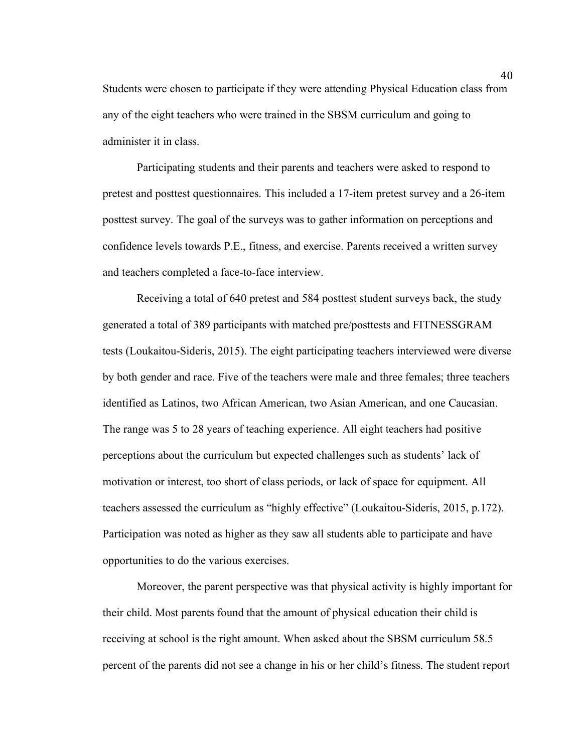Students were chosen to participate if they were attending Physical Education class from any of the eight teachers who were trained in the SBSM curriculum and going to administer it in class.

Participating students and their parents and teachers were asked to respond to pretest and posttest questionnaires. This included a 17-item pretest survey and a 26-item posttest survey. The goal of the surveys was to gather information on perceptions and confidence levels towards P.E., fitness, and exercise. Parents received a written survey and teachers completed a face-to-face interview.

Receiving a total of 640 pretest and 584 posttest student surveys back, the study generated a total of 389 participants with matched pre/posttests and FITNESSGRAM tests (Loukaitou-Sideris, 2015). The eight participating teachers interviewed were diverse by both gender and race. Five of the teachers were male and three females; three teachers identified as Latinos, two African American, two Asian American, and one Caucasian. The range was 5 to 28 years of teaching experience. All eight teachers had positive perceptions about the curriculum but expected challenges such as students' lack of motivation or interest, too short of class periods, or lack of space for equipment. All teachers assessed the curriculum as "highly effective" (Loukaitou-Sideris, 2015, p.172). Participation was noted as higher as they saw all students able to participate and have opportunities to do the various exercises.

Moreover, the parent perspective was that physical activity is highly important for their child. Most parents found that the amount of physical education their child is receiving at school is the right amount. When asked about the SBSM curriculum 58.5 percent of the parents did not see a change in his or her child's fitness. The student report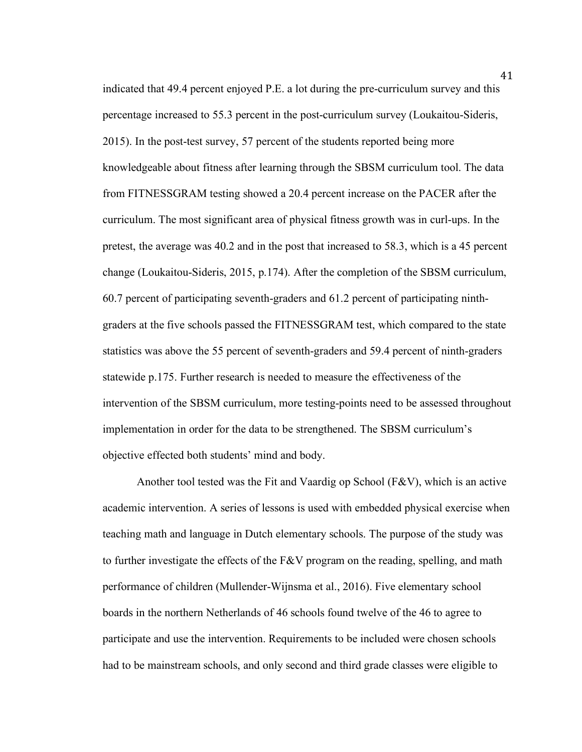indicated that 49.4 percent enjoyed P.E. a lot during the pre-curriculum survey and this percentage increased to 55.3 percent in the post-curriculum survey (Loukaitou-Sideris, 2015). In the post-test survey, 57 percent of the students reported being more knowledgeable about fitness after learning through the SBSM curriculum tool. The data from FITNESSGRAM testing showed a 20.4 percent increase on the PACER after the curriculum. The most significant area of physical fitness growth was in curl-ups. In the pretest, the average was 40.2 and in the post that increased to 58.3, which is a 45 percent change (Loukaitou-Sideris, 2015, p.174). After the completion of the SBSM curriculum, 60.7 percent of participating seventh-graders and 61.2 percent of participating ninthgraders at the five schools passed the FITNESSGRAM test, which compared to the state statistics was above the 55 percent of seventh-graders and 59.4 percent of ninth-graders statewide p.175. Further research is needed to measure the effectiveness of the intervention of the SBSM curriculum, more testing-points need to be assessed throughout implementation in order for the data to be strengthened. The SBSM curriculum's objective effected both students' mind and body.

Another tool tested was the Fit and Vaardig op School (F&V), which is an active academic intervention. A series of lessons is used with embedded physical exercise when teaching math and language in Dutch elementary schools. The purpose of the study was to further investigate the effects of the F&V program on the reading, spelling, and math performance of children (Mullender-Wijnsma et al., 2016). Five elementary school boards in the northern Netherlands of 46 schools found twelve of the 46 to agree to participate and use the intervention. Requirements to be included were chosen schools had to be mainstream schools, and only second and third grade classes were eligible to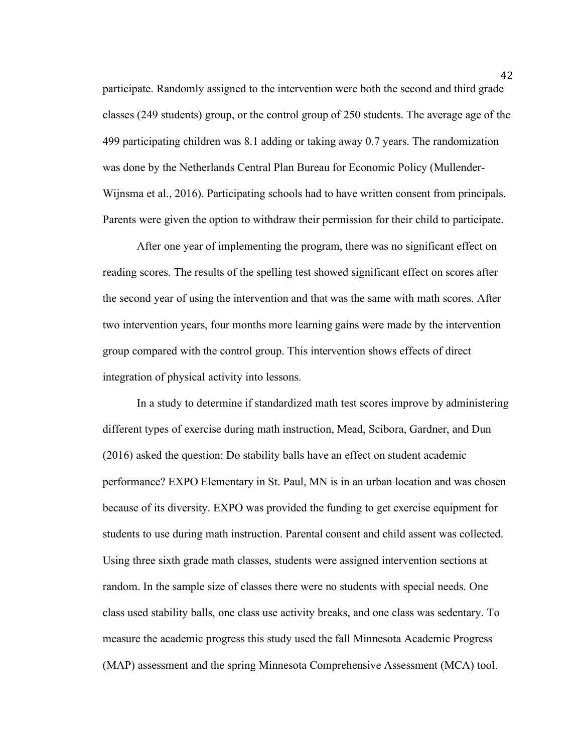participate. Randomly assigned to the intervention were both the second and third grade classes (249 students) group, or the control group of 250 students. The average age of the 499 participating children was 8.1 adding or taking away 0.7 years. The randomization was done by the Netherlands Central Plan Bureau for Economic Policy (Mullender-Wijnsma et al., 2016). Participating schools had to have written consent from principals. Parents were given the option to withdraw their permission for their child to participate.

After one year of implementing the program, there was no significant effect on reading scores. The results of the spelling test showed significant effect on scores after the second year of using the intervention and that was the same with math scores. After two intervention years, four months more learning gains were made by the intervention group compared with the control group. This intervention shows effects of direct integration of physical activity into lessons.

In a study to determine if standardized math test scores improve by administering different types of exercise during math instruction, Mead, Scibora, Gardner, and Dun (2016) asked the question: Do stability balls have an effect on student academic performance? EXPO Elementary in St. Paul, MN is in an urban location and was chosen because of its diversity. EXPO was provided the funding to get exercise equipment for students to use during math instruction. Parental consent and child assent was collected. Using three sixth grade math classes, students were assigned intervention sections at random. In the sample size of classes there were no students with special needs. One class used stability balls, one class use activity breaks, and one class was sedentary. To measure the academic progress this study used the fall Minnesota Academic Progress (MAP) assessment and the spring Minnesota Comprehensive Assessment (MCA) tool.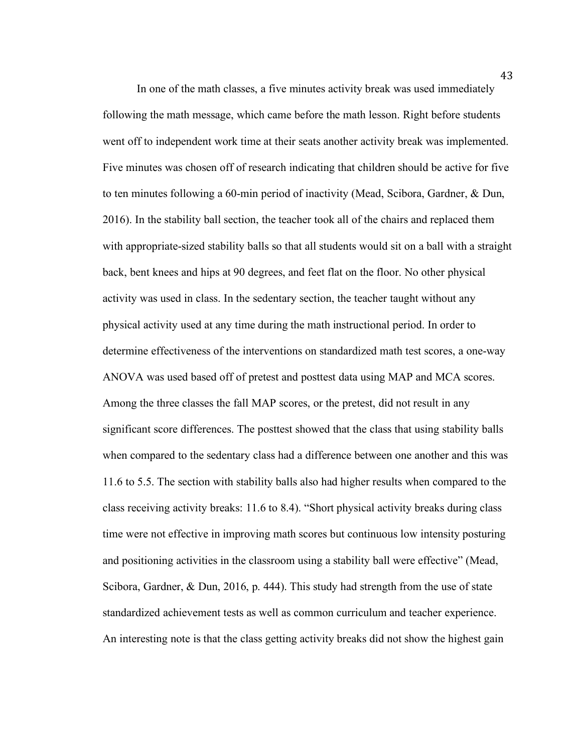In one of the math classes, a five minutes activity break was used immediately following the math message, which came before the math lesson. Right before students went off to independent work time at their seats another activity break was implemented. Five minutes was chosen off of research indicating that children should be active for five to ten minutes following a 60-min period of inactivity (Mead, Scibora, Gardner, & Dun, 2016). In the stability ball section, the teacher took all of the chairs and replaced them with appropriate-sized stability balls so that all students would sit on a ball with a straight back, bent knees and hips at 90 degrees, and feet flat on the floor. No other physical activity was used in class. In the sedentary section, the teacher taught without any physical activity used at any time during the math instructional period. In order to determine effectiveness of the interventions on standardized math test scores, a one-way ANOVA was used based off of pretest and posttest data using MAP and MCA scores. Among the three classes the fall MAP scores, or the pretest, did not result in any significant score differences. The posttest showed that the class that using stability balls when compared to the sedentary class had a difference between one another and this was 11.6 to 5.5. The section with stability balls also had higher results when compared to the class receiving activity breaks: 11.6 to 8.4). "Short physical activity breaks during class time were not effective in improving math scores but continuous low intensity posturing and positioning activities in the classroom using a stability ball were effective" (Mead, Scibora, Gardner, & Dun, 2016, p. 444). This study had strength from the use of state standardized achievement tests as well as common curriculum and teacher experience. An interesting note is that the class getting activity breaks did not show the highest gain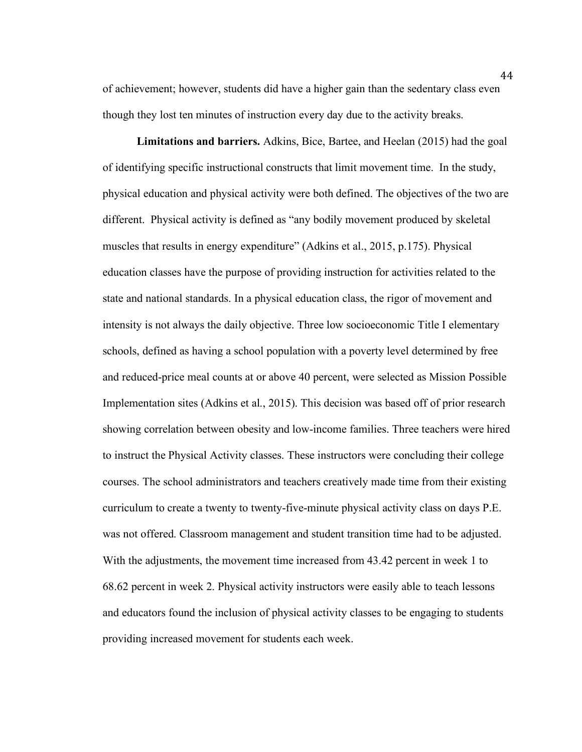of achievement; however, students did have a higher gain than the sedentary class even though they lost ten minutes of instruction every day due to the activity breaks.

**Limitations and barriers.** Adkins, Bice, Bartee, and Heelan (2015) had the goal of identifying specific instructional constructs that limit movement time. In the study, physical education and physical activity were both defined. The objectives of the two are different. Physical activity is defined as "any bodily movement produced by skeletal muscles that results in energy expenditure" (Adkins et al., 2015, p.175). Physical education classes have the purpose of providing instruction for activities related to the state and national standards. In a physical education class, the rigor of movement and intensity is not always the daily objective. Three low socioeconomic Title I elementary schools, defined as having a school population with a poverty level determined by free and reduced-price meal counts at or above 40 percent, were selected as Mission Possible Implementation sites (Adkins et al., 2015). This decision was based off of prior research showing correlation between obesity and low-income families. Three teachers were hired to instruct the Physical Activity classes. These instructors were concluding their college courses. The school administrators and teachers creatively made time from their existing curriculum to create a twenty to twenty-five-minute physical activity class on days P.E. was not offered. Classroom management and student transition time had to be adjusted. With the adjustments, the movement time increased from 43.42 percent in week 1 to 68.62 percent in week 2. Physical activity instructors were easily able to teach lessons and educators found the inclusion of physical activity classes to be engaging to students providing increased movement for students each week.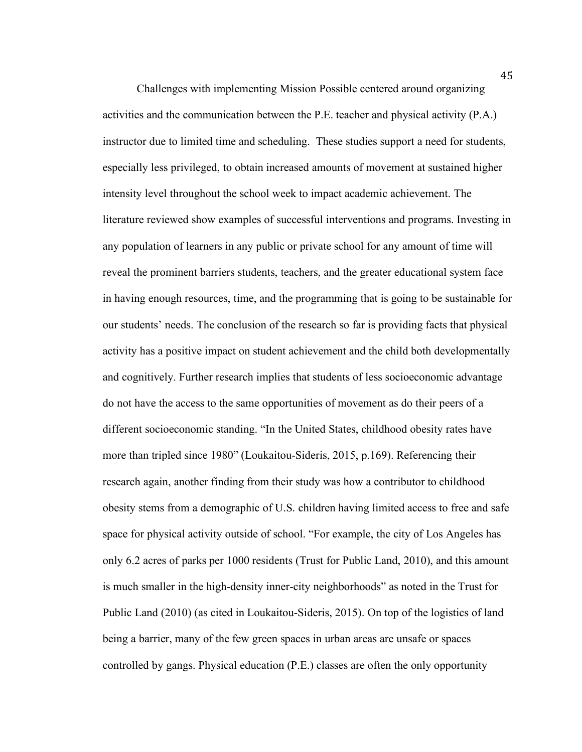Challenges with implementing Mission Possible centered around organizing activities and the communication between the P.E. teacher and physical activity (P.A.) instructor due to limited time and scheduling. These studies support a need for students, especially less privileged, to obtain increased amounts of movement at sustained higher intensity level throughout the school week to impact academic achievement. The literature reviewed show examples of successful interventions and programs. Investing in any population of learners in any public or private school for any amount of time will reveal the prominent barriers students, teachers, and the greater educational system face in having enough resources, time, and the programming that is going to be sustainable for our students' needs. The conclusion of the research so far is providing facts that physical activity has a positive impact on student achievement and the child both developmentally and cognitively. Further research implies that students of less socioeconomic advantage do not have the access to the same opportunities of movement as do their peers of a different socioeconomic standing. "In the United States, childhood obesity rates have more than tripled since 1980" (Loukaitou-Sideris, 2015, p.169). Referencing their research again, another finding from their study was how a contributor to childhood obesity stems from a demographic of U.S. children having limited access to free and safe space for physical activity outside of school. "For example, the city of Los Angeles has only 6.2 acres of parks per 1000 residents (Trust for Public Land, 2010), and this amount is much smaller in the high-density inner-city neighborhoods" as noted in the Trust for Public Land (2010) (as cited in Loukaitou-Sideris, 2015). On top of the logistics of land being a barrier, many of the few green spaces in urban areas are unsafe or spaces controlled by gangs. Physical education (P.E.) classes are often the only opportunity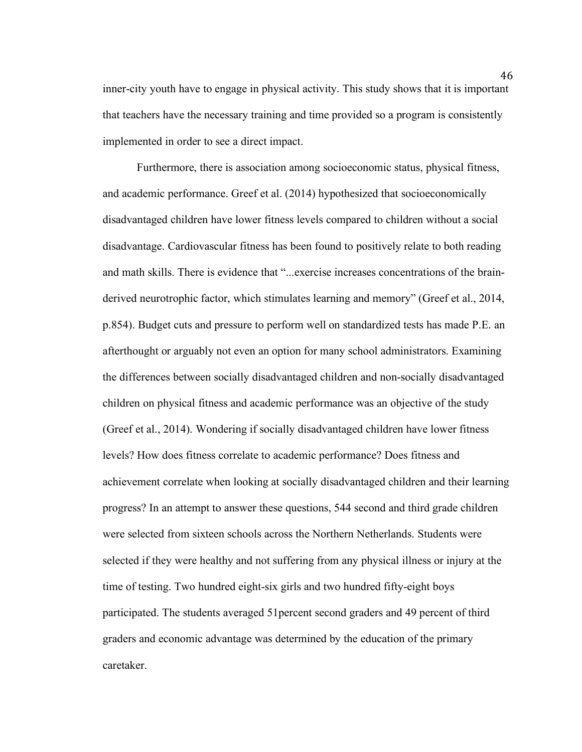inner-city youth have to engage in physical activity. This study shows that it is important that teachers have the necessary training and time provided so a program is consistently implemented in order to see a direct impact.

Furthermore, there is association among socioeconomic status, physical fitness, and academic performance. Greef et al. (2014) hypothesized that socioeconomically disadvantaged children have lower fitness levels compared to children without a social disadvantage. Cardiovascular fitness has been found to positively relate to both reading and math skills. There is evidence that "...exercise increases concentrations of the brainderived neurotrophic factor, which stimulates learning and memory" (Greef et al., 2014, p.854). Budget cuts and pressure to perform well on standardized tests has made P.E. an afterthought or arguably not even an option for many school administrators. Examining the differences between socially disadvantaged children and non-socially disadvantaged children on physical fitness and academic performance was an objective of the study (Greef et al., 2014). Wondering if socially disadvantaged children have lower fitness levels? How does fitness correlate to academic performance? Does fitness and achievement correlate when looking at socially disadvantaged children and their learning progress? In an attempt to answer these questions, 544 second and third grade children were selected from sixteen schools across the Northern Netherlands. Students were selected if they were healthy and not suffering from any physical illness or injury at the time of testing. Two hundred eight-six girls and two hundred fifty-eight boys participated. The students averaged 51percent second graders and 49 percent of third graders and economic advantage was determined by the education of the primary caretaker.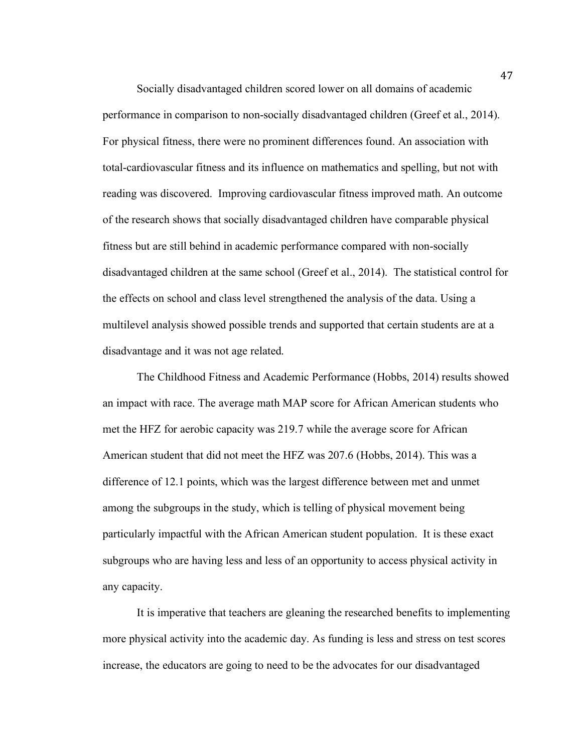Socially disadvantaged children scored lower on all domains of academic performance in comparison to non-socially disadvantaged children (Greef et al., 2014). For physical fitness, there were no prominent differences found. An association with total-cardiovascular fitness and its influence on mathematics and spelling, but not with reading was discovered. Improving cardiovascular fitness improved math. An outcome of the research shows that socially disadvantaged children have comparable physical fitness but are still behind in academic performance compared with non-socially disadvantaged children at the same school (Greef et al., 2014). The statistical control for the effects on school and class level strengthened the analysis of the data. Using a multilevel analysis showed possible trends and supported that certain students are at a disadvantage and it was not age related.

The Childhood Fitness and Academic Performance (Hobbs, 2014) results showed an impact with race. The average math MAP score for African American students who met the HFZ for aerobic capacity was 219.7 while the average score for African American student that did not meet the HFZ was 207.6 (Hobbs, 2014). This was a difference of 12.1 points, which was the largest difference between met and unmet among the subgroups in the study, which is telling of physical movement being particularly impactful with the African American student population. It is these exact subgroups who are having less and less of an opportunity to access physical activity in any capacity.

It is imperative that teachers are gleaning the researched benefits to implementing more physical activity into the academic day. As funding is less and stress on test scores increase, the educators are going to need to be the advocates for our disadvantaged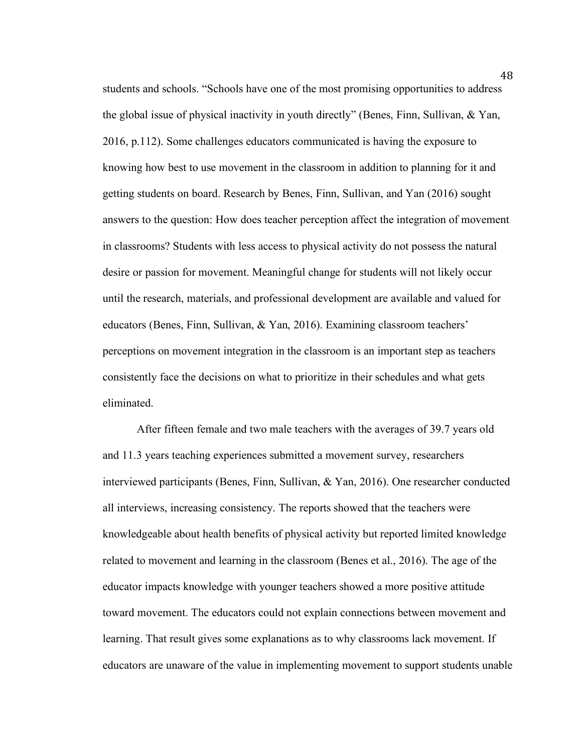students and schools. "Schools have one of the most promising opportunities to address the global issue of physical inactivity in youth directly" (Benes, Finn, Sullivan, & Yan, 2016, p.112). Some challenges educators communicated is having the exposure to knowing how best to use movement in the classroom in addition to planning for it and getting students on board. Research by Benes, Finn, Sullivan, and Yan (2016) sought answers to the question: How does teacher perception affect the integration of movement in classrooms? Students with less access to physical activity do not possess the natural desire or passion for movement. Meaningful change for students will not likely occur until the research, materials, and professional development are available and valued for educators (Benes, Finn, Sullivan, & Yan, 2016). Examining classroom teachers' perceptions on movement integration in the classroom is an important step as teachers consistently face the decisions on what to prioritize in their schedules and what gets eliminated.

After fifteen female and two male teachers with the averages of 39.7 years old and 11.3 years teaching experiences submitted a movement survey, researchers interviewed participants (Benes, Finn, Sullivan, & Yan, 2016). One researcher conducted all interviews, increasing consistency. The reports showed that the teachers were knowledgeable about health benefits of physical activity but reported limited knowledge related to movement and learning in the classroom (Benes et al., 2016). The age of the educator impacts knowledge with younger teachers showed a more positive attitude toward movement. The educators could not explain connections between movement and learning. That result gives some explanations as to why classrooms lack movement. If educators are unaware of the value in implementing movement to support students unable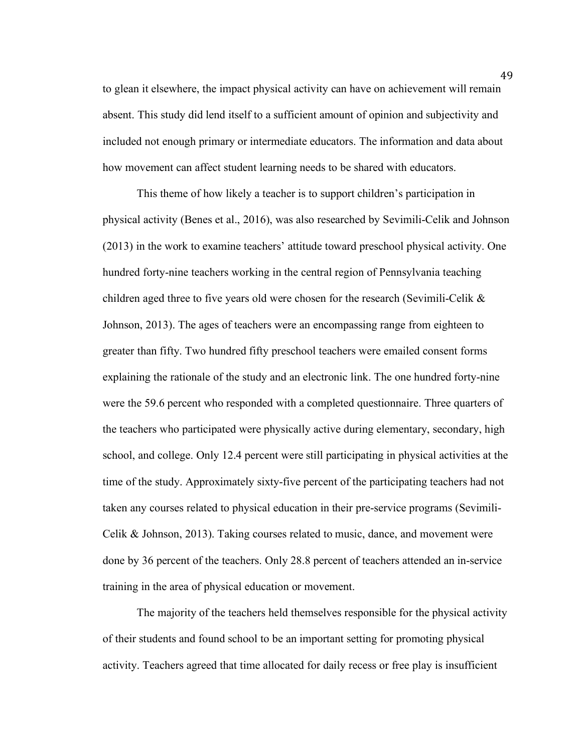to glean it elsewhere, the impact physical activity can have on achievement will remain absent. This study did lend itself to a sufficient amount of opinion and subjectivity and included not enough primary or intermediate educators. The information and data about how movement can affect student learning needs to be shared with educators.

This theme of how likely a teacher is to support children's participation in physical activity (Benes et al., 2016), was also researched by Sevimili-Celik and Johnson (2013) in the work to examine teachers' attitude toward preschool physical activity. One hundred forty-nine teachers working in the central region of Pennsylvania teaching children aged three to five years old were chosen for the research (Sevimili-Celik & Johnson, 2013). The ages of teachers were an encompassing range from eighteen to greater than fifty. Two hundred fifty preschool teachers were emailed consent forms explaining the rationale of the study and an electronic link. The one hundred forty-nine were the 59.6 percent who responded with a completed questionnaire. Three quarters of the teachers who participated were physically active during elementary, secondary, high school, and college. Only 12.4 percent were still participating in physical activities at the time of the study. Approximately sixty-five percent of the participating teachers had not taken any courses related to physical education in their pre-service programs (Sevimili-Celik & Johnson, 2013). Taking courses related to music, dance, and movement were done by 36 percent of the teachers. Only 28.8 percent of teachers attended an in-service training in the area of physical education or movement.

The majority of the teachers held themselves responsible for the physical activity of their students and found school to be an important setting for promoting physical activity. Teachers agreed that time allocated for daily recess or free play is insufficient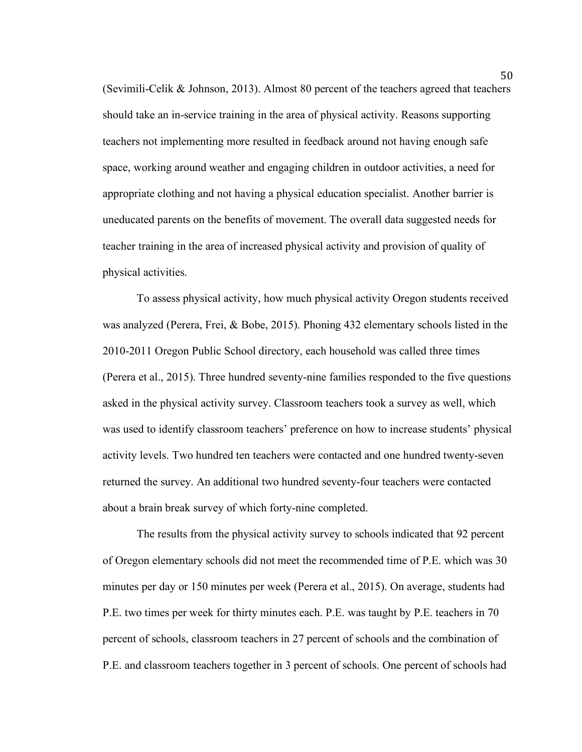(Sevimili-Celik & Johnson, 2013). Almost 80 percent of the teachers agreed that teachers should take an in-service training in the area of physical activity. Reasons supporting teachers not implementing more resulted in feedback around not having enough safe space, working around weather and engaging children in outdoor activities, a need for appropriate clothing and not having a physical education specialist. Another barrier is uneducated parents on the benefits of movement. The overall data suggested needs for teacher training in the area of increased physical activity and provision of quality of physical activities.

To assess physical activity, how much physical activity Oregon students received was analyzed (Perera, Frei, & Bobe, 2015). Phoning 432 elementary schools listed in the 2010-2011 Oregon Public School directory, each household was called three times (Perera et al., 2015). Three hundred seventy-nine families responded to the five questions asked in the physical activity survey. Classroom teachers took a survey as well, which was used to identify classroom teachers' preference on how to increase students' physical activity levels. Two hundred ten teachers were contacted and one hundred twenty-seven returned the survey. An additional two hundred seventy-four teachers were contacted about a brain break survey of which forty-nine completed.

The results from the physical activity survey to schools indicated that 92 percent of Oregon elementary schools did not meet the recommended time of P.E. which was 30 minutes per day or 150 minutes per week (Perera et al., 2015). On average, students had P.E. two times per week for thirty minutes each. P.E. was taught by P.E. teachers in 70 percent of schools, classroom teachers in 27 percent of schools and the combination of P.E. and classroom teachers together in 3 percent of schools. One percent of schools had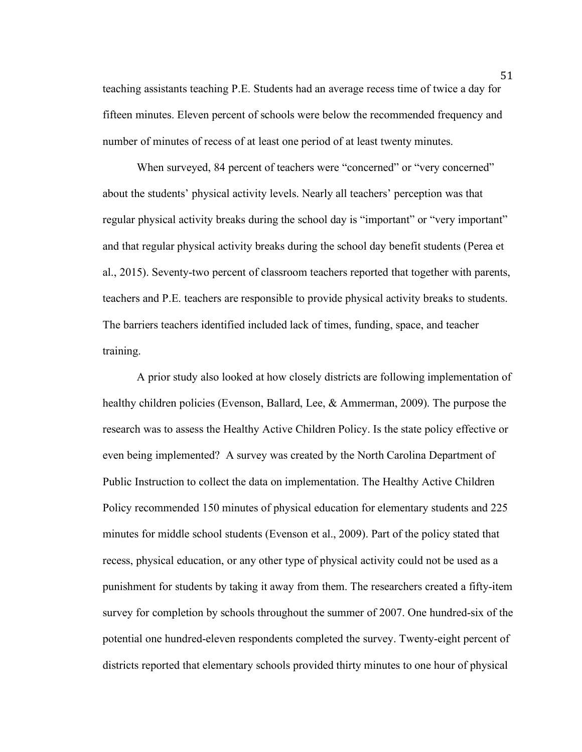teaching assistants teaching P.E. Students had an average recess time of twice a day for fifteen minutes. Eleven percent of schools were below the recommended frequency and number of minutes of recess of at least one period of at least twenty minutes.

When surveyed, 84 percent of teachers were "concerned" or "very concerned" about the students' physical activity levels. Nearly all teachers' perception was that regular physical activity breaks during the school day is "important" or "very important" and that regular physical activity breaks during the school day benefit students (Perea et al., 2015). Seventy-two percent of classroom teachers reported that together with parents, teachers and P.E. teachers are responsible to provide physical activity breaks to students. The barriers teachers identified included lack of times, funding, space, and teacher training.

A prior study also looked at how closely districts are following implementation of healthy children policies (Evenson, Ballard, Lee, & Ammerman, 2009). The purpose the research was to assess the Healthy Active Children Policy. Is the state policy effective or even being implemented? A survey was created by the North Carolina Department of Public Instruction to collect the data on implementation. The Healthy Active Children Policy recommended 150 minutes of physical education for elementary students and 225 minutes for middle school students (Evenson et al., 2009). Part of the policy stated that recess, physical education, or any other type of physical activity could not be used as a punishment for students by taking it away from them. The researchers created a fifty-item survey for completion by schools throughout the summer of 2007. One hundred-six of the potential one hundred-eleven respondents completed the survey. Twenty-eight percent of districts reported that elementary schools provided thirty minutes to one hour of physical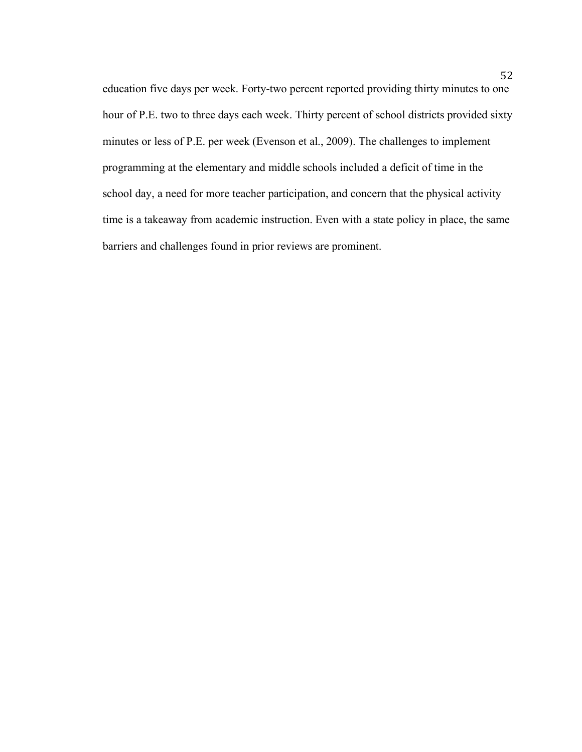education five days per week. Forty-two percent reported providing thirty minutes to one hour of P.E. two to three days each week. Thirty percent of school districts provided sixty minutes or less of P.E. per week (Evenson et al., 2009). The challenges to implement programming at the elementary and middle schools included a deficit of time in the school day, a need for more teacher participation, and concern that the physical activity time is a takeaway from academic instruction. Even with a state policy in place, the same barriers and challenges found in prior reviews are prominent.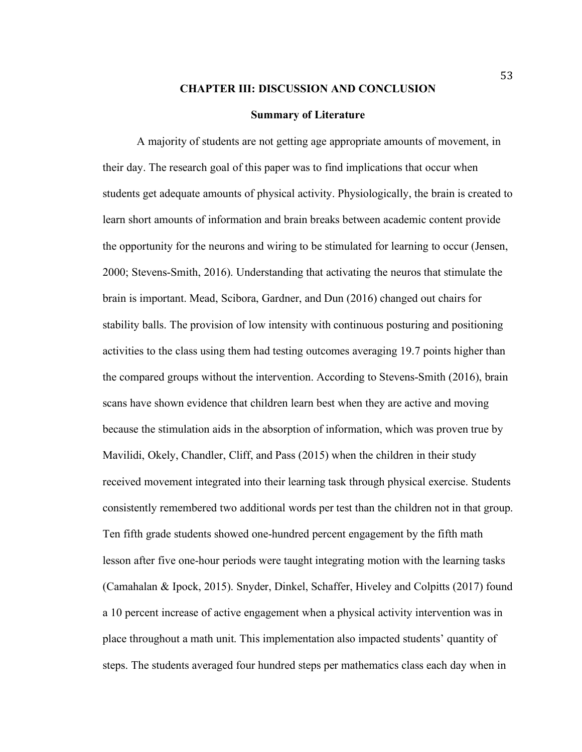#### **CHAPTER III: DISCUSSION AND CONCLUSION**

#### **Summary of Literature**

A majority of students are not getting age appropriate amounts of movement, in their day. The research goal of this paper was to find implications that occur when students get adequate amounts of physical activity. Physiologically, the brain is created to learn short amounts of information and brain breaks between academic content provide the opportunity for the neurons and wiring to be stimulated for learning to occur (Jensen, 2000; Stevens-Smith, 2016). Understanding that activating the neuros that stimulate the brain is important. Mead, Scibora, Gardner, and Dun (2016) changed out chairs for stability balls. The provision of low intensity with continuous posturing and positioning activities to the class using them had testing outcomes averaging 19.7 points higher than the compared groups without the intervention. According to Stevens-Smith (2016), brain scans have shown evidence that children learn best when they are active and moving because the stimulation aids in the absorption of information, which was proven true by Mavilidi, Okely, Chandler, Cliff, and Pass (2015) when the children in their study received movement integrated into their learning task through physical exercise. Students consistently remembered two additional words per test than the children not in that group. Ten fifth grade students showed one-hundred percent engagement by the fifth math lesson after five one-hour periods were taught integrating motion with the learning tasks (Camahalan & Ipock, 2015). Snyder, Dinkel, Schaffer, Hiveley and Colpitts (2017) found a 10 percent increase of active engagement when a physical activity intervention was in place throughout a math unit. This implementation also impacted students' quantity of steps. The students averaged four hundred steps per mathematics class each day when in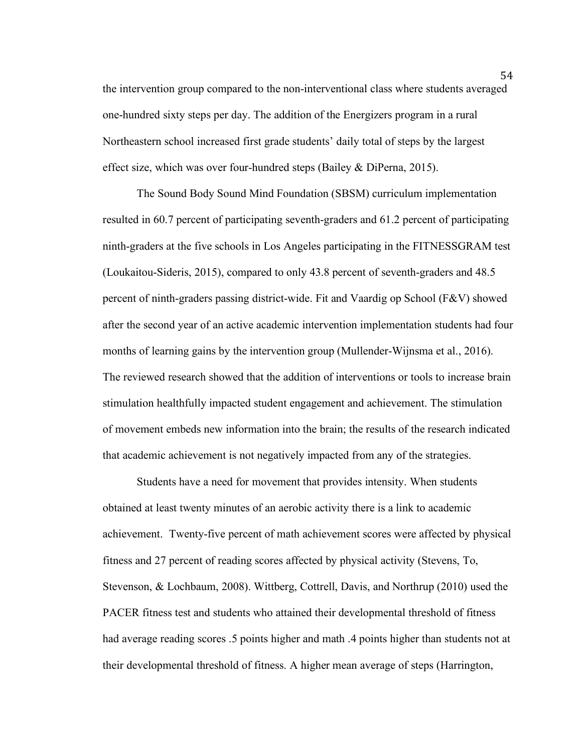the intervention group compared to the non-interventional class where students averaged one-hundred sixty steps per day. The addition of the Energizers program in a rural Northeastern school increased first grade students' daily total of steps by the largest effect size, which was over four-hundred steps (Bailey & DiPerna, 2015).

The Sound Body Sound Mind Foundation (SBSM) curriculum implementation resulted in 60.7 percent of participating seventh-graders and 61.2 percent of participating ninth-graders at the five schools in Los Angeles participating in the FITNESSGRAM test (Loukaitou-Sideris, 2015), compared to only 43.8 percent of seventh-graders and 48.5 percent of ninth-graders passing district-wide. Fit and Vaardig op School (F&V) showed after the second year of an active academic intervention implementation students had four months of learning gains by the intervention group (Mullender-Wijnsma et al., 2016). The reviewed research showed that the addition of interventions or tools to increase brain stimulation healthfully impacted student engagement and achievement. The stimulation of movement embeds new information into the brain; the results of the research indicated that academic achievement is not negatively impacted from any of the strategies.

Students have a need for movement that provides intensity. When students obtained at least twenty minutes of an aerobic activity there is a link to academic achievement. Twenty-five percent of math achievement scores were affected by physical fitness and 27 percent of reading scores affected by physical activity (Stevens, To, Stevenson, & Lochbaum, 2008). Wittberg, Cottrell, Davis, and Northrup (2010) used the PACER fitness test and students who attained their developmental threshold of fitness had average reading scores .5 points higher and math .4 points higher than students not at their developmental threshold of fitness. A higher mean average of steps (Harrington,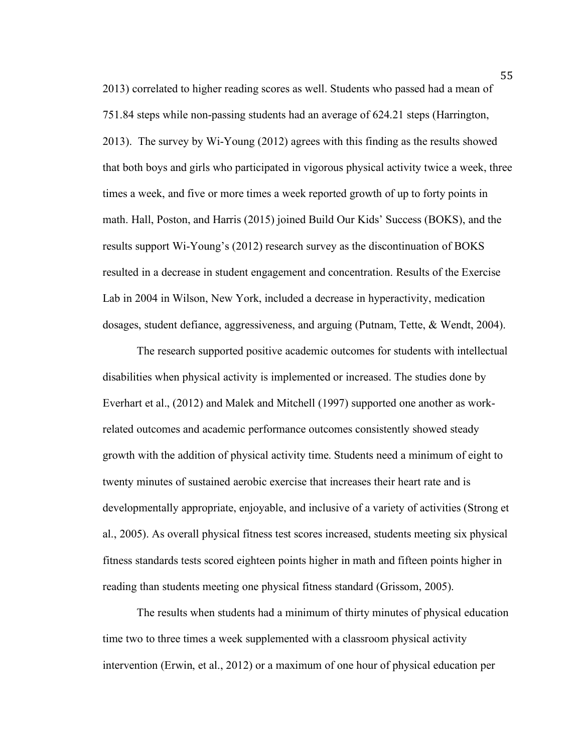2013) correlated to higher reading scores as well. Students who passed had a mean of 751.84 steps while non-passing students had an average of 624.21 steps (Harrington, 2013). The survey by Wi-Young (2012) agrees with this finding as the results showed that both boys and girls who participated in vigorous physical activity twice a week, three times a week, and five or more times a week reported growth of up to forty points in math. Hall, Poston, and Harris (2015) joined Build Our Kids' Success (BOKS), and the results support Wi-Young's (2012) research survey as the discontinuation of BOKS resulted in a decrease in student engagement and concentration. Results of the Exercise Lab in 2004 in Wilson, New York, included a decrease in hyperactivity, medication dosages, student defiance, aggressiveness, and arguing (Putnam, Tette, & Wendt, 2004).

The research supported positive academic outcomes for students with intellectual disabilities when physical activity is implemented or increased. The studies done by Everhart et al., (2012) and Malek and Mitchell (1997) supported one another as workrelated outcomes and academic performance outcomes consistently showed steady growth with the addition of physical activity time. Students need a minimum of eight to twenty minutes of sustained aerobic exercise that increases their heart rate and is developmentally appropriate, enjoyable, and inclusive of a variety of activities (Strong et al., 2005). As overall physical fitness test scores increased, students meeting six physical fitness standards tests scored eighteen points higher in math and fifteen points higher in reading than students meeting one physical fitness standard (Grissom, 2005).

The results when students had a minimum of thirty minutes of physical education time two to three times a week supplemented with a classroom physical activity intervention (Erwin, et al., 2012) or a maximum of one hour of physical education per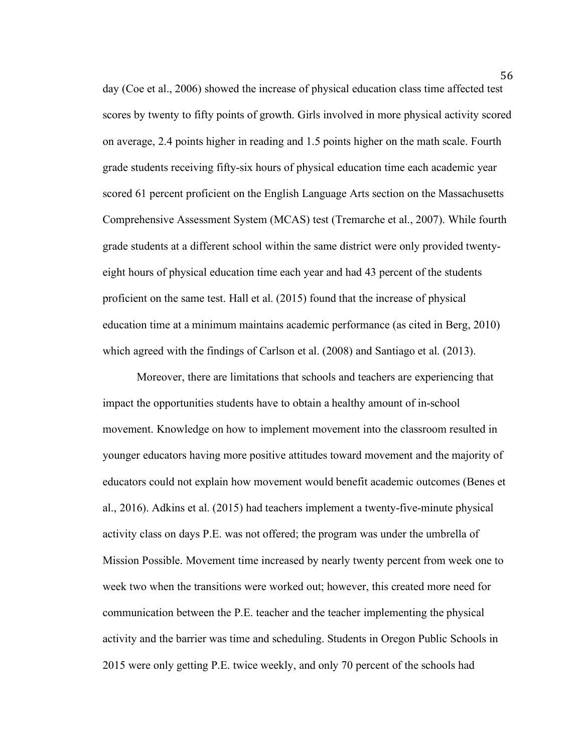day (Coe et al., 2006) showed the increase of physical education class time affected test scores by twenty to fifty points of growth. Girls involved in more physical activity scored on average, 2.4 points higher in reading and 1.5 points higher on the math scale. Fourth grade students receiving fifty-six hours of physical education time each academic year scored 61 percent proficient on the English Language Arts section on the Massachusetts Comprehensive Assessment System (MCAS) test (Tremarche et al., 2007). While fourth grade students at a different school within the same district were only provided twentyeight hours of physical education time each year and had 43 percent of the students proficient on the same test. Hall et al. (2015) found that the increase of physical education time at a minimum maintains academic performance (as cited in Berg, 2010) which agreed with the findings of Carlson et al. (2008) and Santiago et al. (2013).

Moreover, there are limitations that schools and teachers are experiencing that impact the opportunities students have to obtain a healthy amount of in-school movement. Knowledge on how to implement movement into the classroom resulted in younger educators having more positive attitudes toward movement and the majority of educators could not explain how movement would benefit academic outcomes (Benes et al., 2016). Adkins et al. (2015) had teachers implement a twenty-five-minute physical activity class on days P.E. was not offered; the program was under the umbrella of Mission Possible. Movement time increased by nearly twenty percent from week one to week two when the transitions were worked out; however, this created more need for communication between the P.E. teacher and the teacher implementing the physical activity and the barrier was time and scheduling. Students in Oregon Public Schools in 2015 were only getting P.E. twice weekly, and only 70 percent of the schools had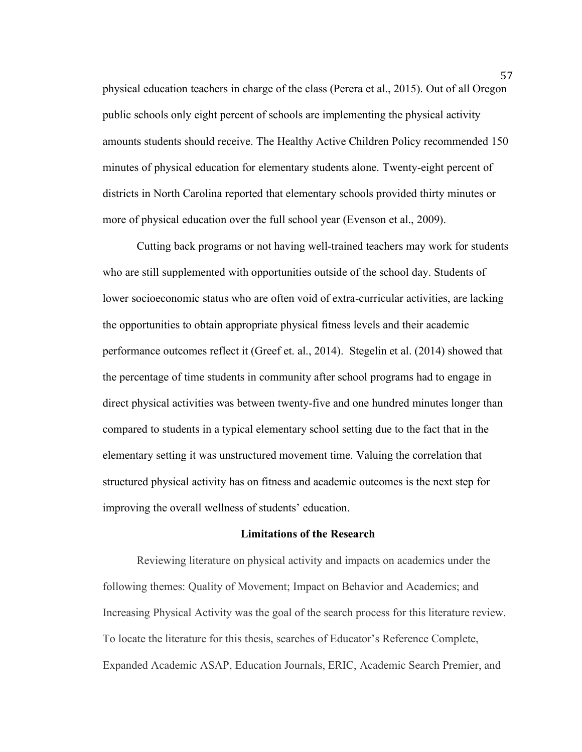physical education teachers in charge of the class (Perera et al., 2015). Out of all Oregon public schools only eight percent of schools are implementing the physical activity amounts students should receive. The Healthy Active Children Policy recommended 150 minutes of physical education for elementary students alone. Twenty-eight percent of districts in North Carolina reported that elementary schools provided thirty minutes or more of physical education over the full school year (Evenson et al., 2009).

Cutting back programs or not having well-trained teachers may work for students who are still supplemented with opportunities outside of the school day. Students of lower socioeconomic status who are often void of extra-curricular activities, are lacking the opportunities to obtain appropriate physical fitness levels and their academic performance outcomes reflect it (Greef et. al., 2014). Stegelin et al. (2014) showed that the percentage of time students in community after school programs had to engage in direct physical activities was between twenty-five and one hundred minutes longer than compared to students in a typical elementary school setting due to the fact that in the elementary setting it was unstructured movement time. Valuing the correlation that structured physical activity has on fitness and academic outcomes is the next step for improving the overall wellness of students' education.

#### **Limitations of the Research**

Reviewing literature on physical activity and impacts on academics under the following themes: Quality of Movement; Impact on Behavior and Academics; and Increasing Physical Activity was the goal of the search process for this literature review. To locate the literature for this thesis, searches of Educator's Reference Complete, Expanded Academic ASAP, Education Journals, ERIC, Academic Search Premier, and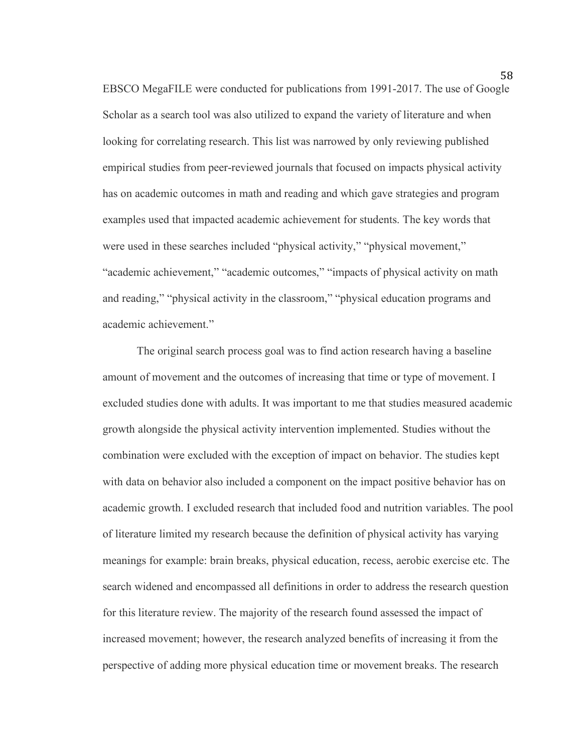EBSCO MegaFILE were conducted for publications from 1991-2017. The use of Google Scholar as a search tool was also utilized to expand the variety of literature and when looking for correlating research. This list was narrowed by only reviewing published empirical studies from peer-reviewed journals that focused on impacts physical activity has on academic outcomes in math and reading and which gave strategies and program examples used that impacted academic achievement for students. The key words that were used in these searches included "physical activity," "physical movement," "academic achievement," "academic outcomes," "impacts of physical activity on math and reading," "physical activity in the classroom," "physical education programs and academic achievement."

The original search process goal was to find action research having a baseline amount of movement and the outcomes of increasing that time or type of movement. I excluded studies done with adults. It was important to me that studies measured academic growth alongside the physical activity intervention implemented. Studies without the combination were excluded with the exception of impact on behavior. The studies kept with data on behavior also included a component on the impact positive behavior has on academic growth. I excluded research that included food and nutrition variables. The pool of literature limited my research because the definition of physical activity has varying meanings for example: brain breaks, physical education, recess, aerobic exercise etc. The search widened and encompassed all definitions in order to address the research question for this literature review. The majority of the research found assessed the impact of increased movement; however, the research analyzed benefits of increasing it from the perspective of adding more physical education time or movement breaks. The research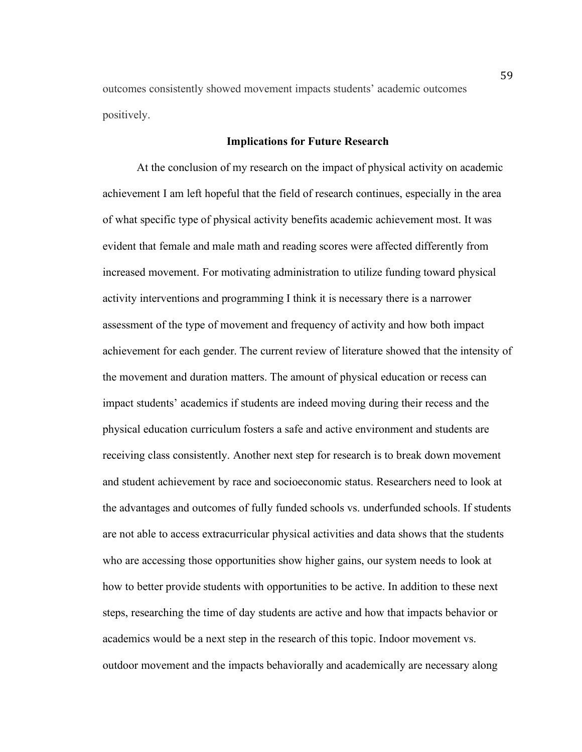outcomes consistently showed movement impacts students' academic outcomes positively.

#### **Implications for Future Research**

At the conclusion of my research on the impact of physical activity on academic achievement I am left hopeful that the field of research continues, especially in the area of what specific type of physical activity benefits academic achievement most. It was evident that female and male math and reading scores were affected differently from increased movement. For motivating administration to utilize funding toward physical activity interventions and programming I think it is necessary there is a narrower assessment of the type of movement and frequency of activity and how both impact achievement for each gender. The current review of literature showed that the intensity of the movement and duration matters. The amount of physical education or recess can impact students' academics if students are indeed moving during their recess and the physical education curriculum fosters a safe and active environment and students are receiving class consistently. Another next step for research is to break down movement and student achievement by race and socioeconomic status. Researchers need to look at the advantages and outcomes of fully funded schools vs. underfunded schools. If students are not able to access extracurricular physical activities and data shows that the students who are accessing those opportunities show higher gains, our system needs to look at how to better provide students with opportunities to be active. In addition to these next steps, researching the time of day students are active and how that impacts behavior or academics would be a next step in the research of this topic. Indoor movement vs. outdoor movement and the impacts behaviorally and academically are necessary along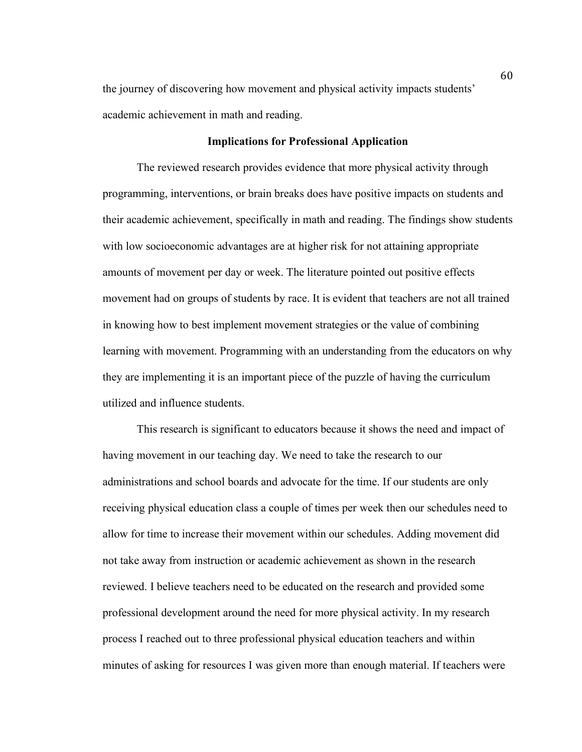the journey of discovering how movement and physical activity impacts students' academic achievement in math and reading.

# **Implications for Professional Application**

The reviewed research provides evidence that more physical activity through programming, interventions, or brain breaks does have positive impacts on students and their academic achievement, specifically in math and reading. The findings show students with low socioeconomic advantages are at higher risk for not attaining appropriate amounts of movement per day or week. The literature pointed out positive effects movement had on groups of students by race. It is evident that teachers are not all trained in knowing how to best implement movement strategies or the value of combining learning with movement. Programming with an understanding from the educators on why they are implementing it is an important piece of the puzzle of having the curriculum utilized and influence students.

This research is significant to educators because it shows the need and impact of having movement in our teaching day. We need to take the research to our administrations and school boards and advocate for the time. If our students are only receiving physical education class a couple of times per week then our schedules need to allow for time to increase their movement within our schedules. Adding movement did not take away from instruction or academic achievement as shown in the research reviewed. I believe teachers need to be educated on the research and provided some professional development around the need for more physical activity. In my research process I reached out to three professional physical education teachers and within minutes of asking for resources I was given more than enough material. If teachers were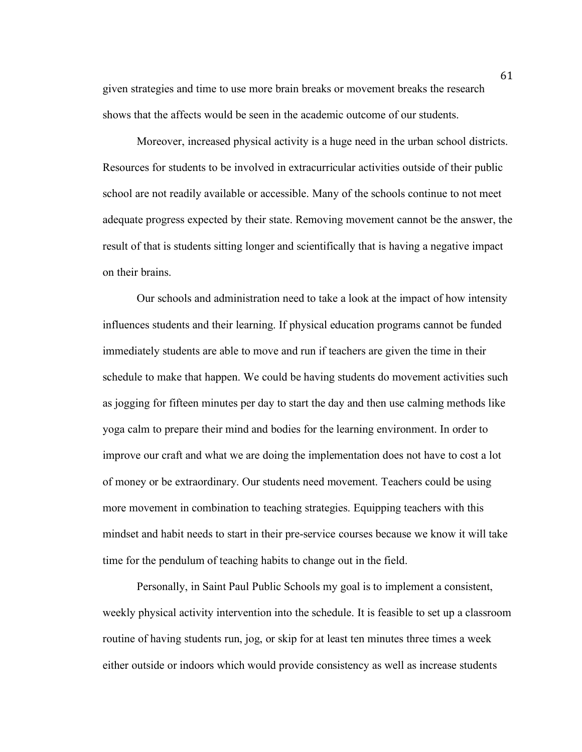given strategies and time to use more brain breaks or movement breaks the research shows that the affects would be seen in the academic outcome of our students.

Moreover, increased physical activity is a huge need in the urban school districts. Resources for students to be involved in extracurricular activities outside of their public school are not readily available or accessible. Many of the schools continue to not meet adequate progress expected by their state. Removing movement cannot be the answer, the result of that is students sitting longer and scientifically that is having a negative impact on their brains.

Our schools and administration need to take a look at the impact of how intensity influences students and their learning. If physical education programs cannot be funded immediately students are able to move and run if teachers are given the time in their schedule to make that happen. We could be having students do movement activities such as jogging for fifteen minutes per day to start the day and then use calming methods like yoga calm to prepare their mind and bodies for the learning environment. In order to improve our craft and what we are doing the implementation does not have to cost a lot of money or be extraordinary. Our students need movement. Teachers could be using more movement in combination to teaching strategies. Equipping teachers with this mindset and habit needs to start in their pre-service courses because we know it will take time for the pendulum of teaching habits to change out in the field.

Personally, in Saint Paul Public Schools my goal is to implement a consistent, weekly physical activity intervention into the schedule. It is feasible to set up a classroom routine of having students run, jog, or skip for at least ten minutes three times a week either outside or indoors which would provide consistency as well as increase students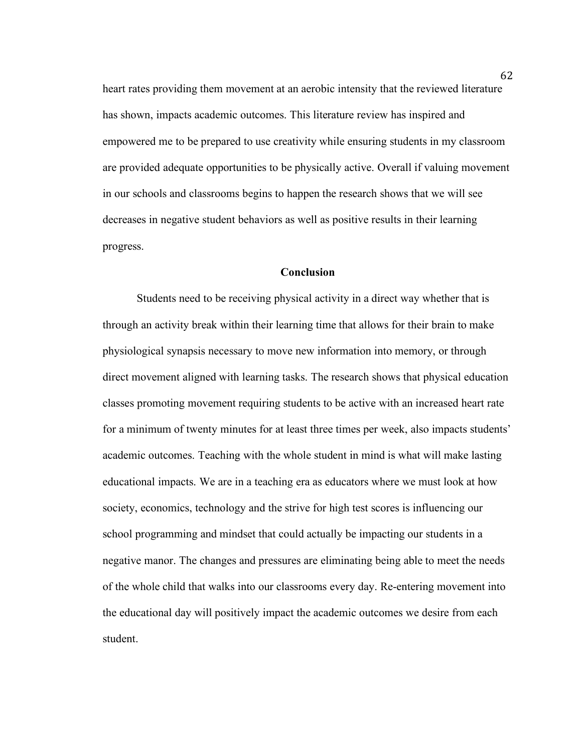heart rates providing them movement at an aerobic intensity that the reviewed literature has shown, impacts academic outcomes. This literature review has inspired and empowered me to be prepared to use creativity while ensuring students in my classroom are provided adequate opportunities to be physically active. Overall if valuing movement in our schools and classrooms begins to happen the research shows that we will see decreases in negative student behaviors as well as positive results in their learning progress.

### **Conclusion**

Students need to be receiving physical activity in a direct way whether that is through an activity break within their learning time that allows for their brain to make physiological synapsis necessary to move new information into memory, or through direct movement aligned with learning tasks. The research shows that physical education classes promoting movement requiring students to be active with an increased heart rate for a minimum of twenty minutes for at least three times per week, also impacts students' academic outcomes. Teaching with the whole student in mind is what will make lasting educational impacts. We are in a teaching era as educators where we must look at how society, economics, technology and the strive for high test scores is influencing our school programming and mindset that could actually be impacting our students in a negative manor. The changes and pressures are eliminating being able to meet the needs of the whole child that walks into our classrooms every day. Re-entering movement into the educational day will positively impact the academic outcomes we desire from each student.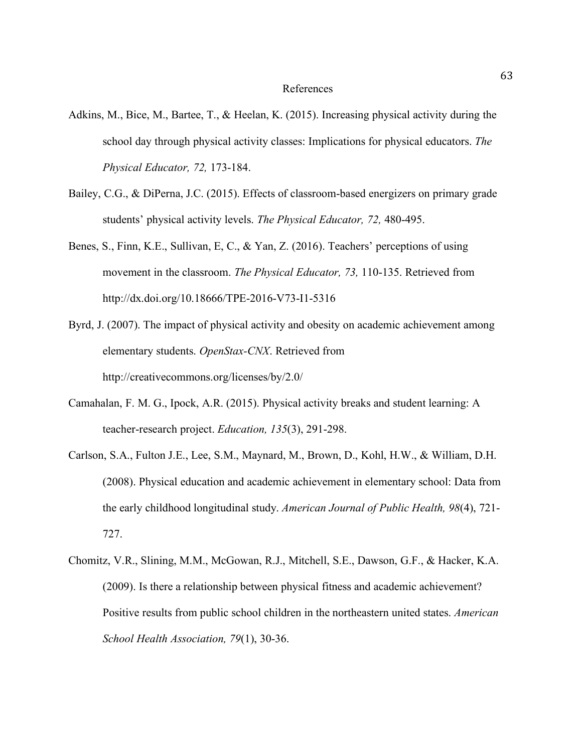- Adkins, M., Bice, M., Bartee, T., & Heelan, K. (2015). Increasing physical activity during the school day through physical activity classes: Implications for physical educators. *The Physical Educator, 72,* 173-184.
- Bailey, C.G., & DiPerna, J.C. (2015). Effects of classroom-based energizers on primary grade students' physical activity levels. *The Physical Educator, 72,* 480-495.
- Benes, S., Finn, K.E., Sullivan, E, C., & Yan, Z. (2016). Teachers' perceptions of using movement in the classroom. *The Physical Educator, 73,* 110-135. Retrieved from http://dx.doi.org/10.18666/TPE-2016-V73-I1-5316
- Byrd, J. (2007). The impact of physical activity and obesity on academic achievement among elementary students. *OpenStax-CNX*. Retrieved from http://creativecommons.org/licenses/by/2.0/
- Camahalan, F. M. G., Ipock, A.R. (2015). Physical activity breaks and student learning: A teacher-research project. *Education, 135*(3), 291-298.
- Carlson, S.A., Fulton J.E., Lee, S.M., Maynard, M., Brown, D., Kohl, H.W., & William, D.H. (2008). Physical education and academic achievement in elementary school: Data from the early childhood longitudinal study. *American Journal of Public Health, 98*(4), 721- 727.
- Chomitz, V.R., Slining, M.M., McGowan, R.J., Mitchell, S.E., Dawson, G.F., & Hacker, K.A. (2009). Is there a relationship between physical fitness and academic achievement? Positive results from public school children in the northeastern united states. *American School Health Association, 79*(1), 30-36.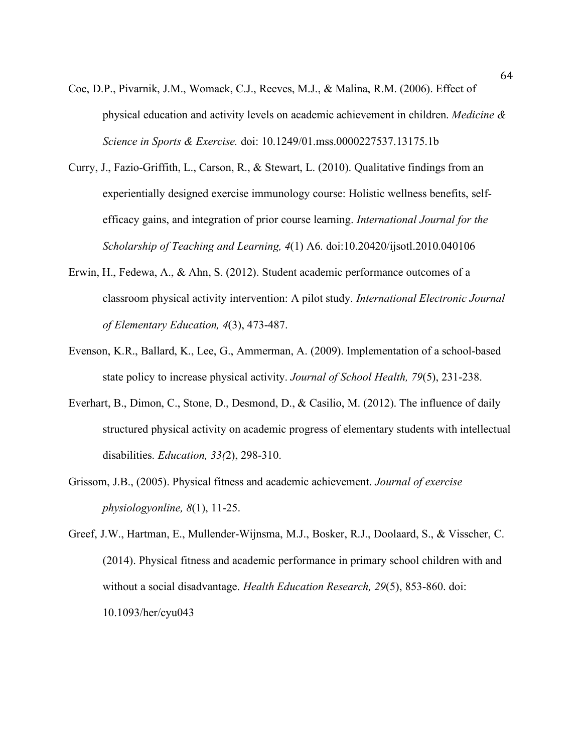- Coe, D.P., Pivarnik, J.M., Womack, C.J., Reeves, M.J., & Malina, R.M. (2006). Effect of physical education and activity levels on academic achievement in children. *Medicine & Science in Sports & Exercise.* doi: 10.1249/01.mss.0000227537.13175.1b
- Curry, J., Fazio-Griffith, L., Carson, R., & Stewart, L. (2010). Qualitative findings from an experientially designed exercise immunology course: Holistic wellness benefits, selfefficacy gains, and integration of prior course learning. *International Journal for the Scholarship of Teaching and Learning, 4*(1) A6. doi:10.20420/ijsotl.2010.040106
- Erwin, H., Fedewa, A., & Ahn, S. (2012). Student academic performance outcomes of a classroom physical activity intervention: A pilot study. *International Electronic Journal of Elementary Education, 4*(3), 473-487.
- Evenson, K.R., Ballard, K., Lee, G., Ammerman, A. (2009). Implementation of a school-based state policy to increase physical activity. *Journal of School Health, 79*(5), 231-238.
- Everhart, B., Dimon, C., Stone, D., Desmond, D., & Casilio, M. (2012). The influence of daily structured physical activity on academic progress of elementary students with intellectual disabilities. *Education, 33(*2), 298-310.
- Grissom, J.B., (2005). Physical fitness and academic achievement. *Journal of exercise physiologyonline, 8*(1), 11-25.
- Greef, J.W., Hartman, E., Mullender-Wijnsma, M.J., Bosker, R.J., Doolaard, S., & Visscher, C. (2014). Physical fitness and academic performance in primary school children with and without a social disadvantage. *Health Education Research, 29*(5), 853-860. doi: 10.1093/her/cyu043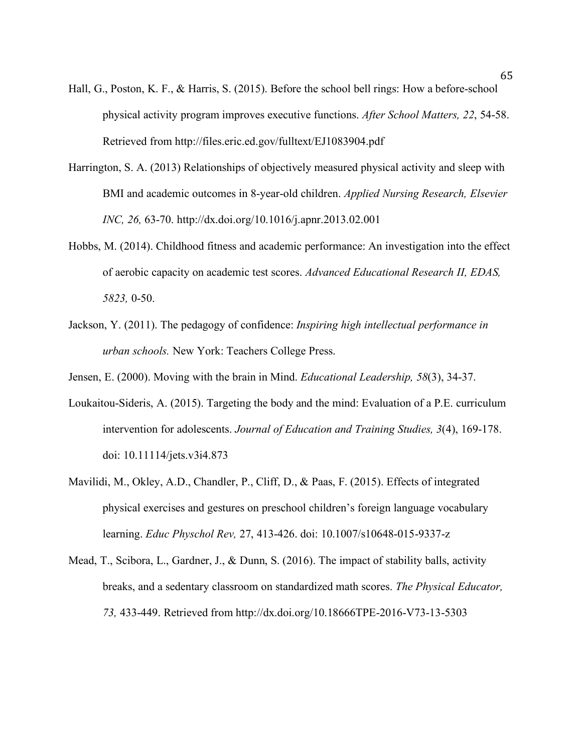- Hall, G., Poston, K. F., & Harris, S. (2015). Before the school bell rings: How a before-school physical activity program improves executive functions. *After School Matters, 22*, 54-58. Retrieved from http://files.eric.ed.gov/fulltext/EJ1083904.pdf
- Harrington, S. A. (2013) Relationships of objectively measured physical activity and sleep with BMI and academic outcomes in 8-year-old children. *Applied Nursing Research, Elsevier INC, 26,* 63-70. http://dx.doi.org/10.1016/j.apnr.2013.02.001
- Hobbs, M. (2014). Childhood fitness and academic performance: An investigation into the effect of aerobic capacity on academic test scores. *Advanced Educational Research II, EDAS, 5823,* 0-50.
- Jackson, Y. (2011). The pedagogy of confidence: *Inspiring high intellectual performance in urban schools.* New York: Teachers College Press.
- Jensen, E. (2000). Moving with the brain in Mind. *Educational Leadership, 58*(3), 34-37.
- Loukaitou-Sideris, A. (2015). Targeting the body and the mind: Evaluation of a P.E. curriculum intervention for adolescents. *Journal of Education and Training Studies, 3*(4), 169-178. doi: 10.11114/jets.v3i4.873
- Mavilidi, M., Okley, A.D., Chandler, P., Cliff, D., & Paas, F. (2015). Effects of integrated physical exercises and gestures on preschool children's foreign language vocabulary learning. *Educ Physchol Rev,* 27, 413-426. doi: 10.1007/s10648-015-9337-z
- Mead, T., Scibora, L., Gardner, J., & Dunn, S. (2016). The impact of stability balls, activity breaks, and a sedentary classroom on standardized math scores. *The Physical Educator, 73,* 433-449. Retrieved from http://dx.doi.org/10.18666TPE-2016-V73-13-5303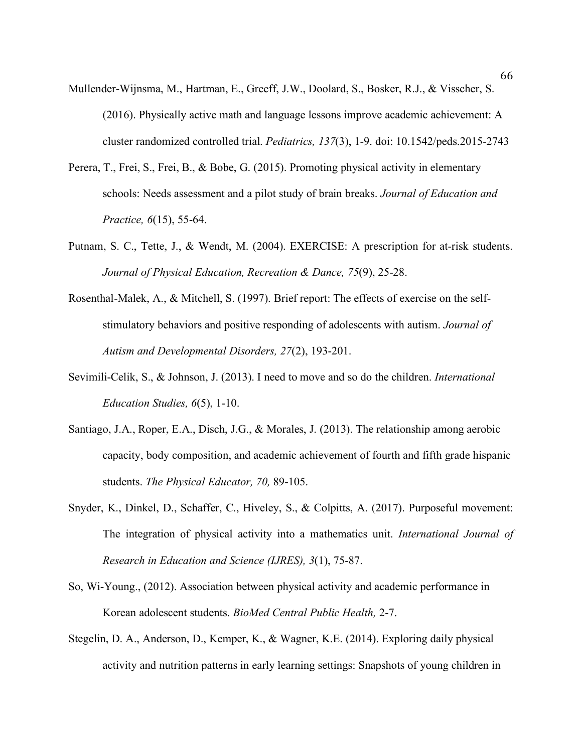- Mullender-Wijnsma, M., Hartman, E., Greeff, J.W., Doolard, S., Bosker, R.J., & Visscher, S. (2016). Physically active math and language lessons improve academic achievement: A cluster randomized controlled trial. *Pediatrics, 137*(3), 1-9. doi: 10.1542/peds.2015-2743
- Perera, T., Frei, S., Frei, B., & Bobe, G. (2015). Promoting physical activity in elementary schools: Needs assessment and a pilot study of brain breaks. *Journal of Education and Practice, 6*(15), 55-64.
- Putnam, S. C., Tette, J., & Wendt, M. (2004). EXERCISE: A prescription for at-risk students. *Journal of Physical Education, Recreation & Dance, 75*(9), 25-28.
- Rosenthal-Malek, A., & Mitchell, S. (1997). Brief report: The effects of exercise on the selfstimulatory behaviors and positive responding of adolescents with autism. *Journal of Autism and Developmental Disorders, 27*(2), 193-201.
- Sevimili-Celik, S., & Johnson, J. (2013). I need to move and so do the children. *International Education Studies, 6*(5), 1-10.
- Santiago, J.A., Roper, E.A., Disch, J.G., & Morales, J. (2013). The relationship among aerobic capacity, body composition, and academic achievement of fourth and fifth grade hispanic students. *The Physical Educator, 70,* 89-105.
- Snyder, K., Dinkel, D., Schaffer, C., Hiveley, S., & Colpitts, A. (2017). Purposeful movement: The integration of physical activity into a mathematics unit. *International Journal of Research in Education and Science (IJRES), 3*(1), 75-87.
- So, Wi-Young., (2012). Association between physical activity and academic performance in Korean adolescent students. *BioMed Central Public Health,* 2-7.
- Stegelin, D. A., Anderson, D., Kemper, K., & Wagner, K.E. (2014). Exploring daily physical activity and nutrition patterns in early learning settings: Snapshots of young children in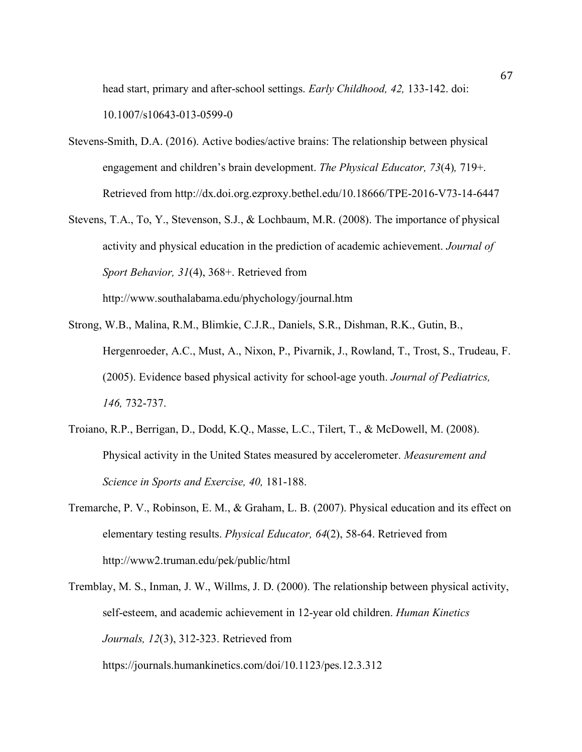head start, primary and after-school settings. *Early Childhood, 42,* 133-142. doi: 10.1007/s10643-013-0599-0

- Stevens-Smith, D.A. (2016). Active bodies/active brains: The relationship between physical engagement and children's brain development. *The Physical Educator, 73*(4)*,* 719+. Retrieved from http://dx.doi.org.ezproxy.bethel.edu/10.18666/TPE-2016-V73-14-6447
- Stevens, T.A., To, Y., Stevenson, S.J., & Lochbaum, M.R. (2008). The importance of physical activity and physical education in the prediction of academic achievement. *Journal of Sport Behavior, 31*(4), 368+. Retrieved from http://www.southalabama.edu/phychology/journal.htm
- Strong, W.B., Malina, R.M., Blimkie, C.J.R., Daniels, S.R., Dishman, R.K., Gutin, B., Hergenroeder, A.C., Must, A., Nixon, P., Pivarnik, J., Rowland, T., Trost, S., Trudeau, F. (2005). Evidence based physical activity for school-age youth. *Journal of Pediatrics, 146,* 732-737.
- Troiano, R.P., Berrigan, D., Dodd, K.Q., Masse, L.C., Tilert, T., & McDowell, M. (2008). Physical activity in the United States measured by accelerometer. *Measurement and Science in Sports and Exercise, 40,* 181-188.
- Tremarche, P. V., Robinson, E. M., & Graham, L. B. (2007). Physical education and its effect on elementary testing results. *Physical Educator, 64*(2), 58-64. Retrieved from http://www2.truman.edu/pek/public/html
- Tremblay, M. S., Inman, J. W., Willms, J. D. (2000). The relationship between physical activity, self-esteem, and academic achievement in 12-year old children. *Human Kinetics Journals, 12*(3), 312-323. Retrieved from

https://journals.humankinetics.com/doi/10.1123/pes.12.3.312